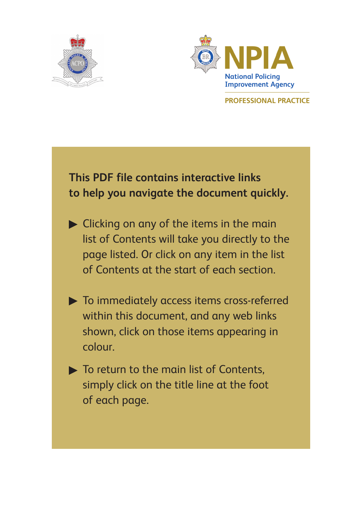



**PROFESSIONAL PRACTICE**

**This PDF file contains interactive links to help you navigate the document quickly.**

- Clicking on any of the items in the main list of Contents will take you directly to the page listed. Or click on any item in the list of Contents at the start of each section.
- $\blacktriangleright$  To immediately access items cross-referred within this document, and any web links shown, click on those items appearing in colour.
- $\blacktriangleright$  To return to the main list of Contents, simply click on the title line at the foot of each page.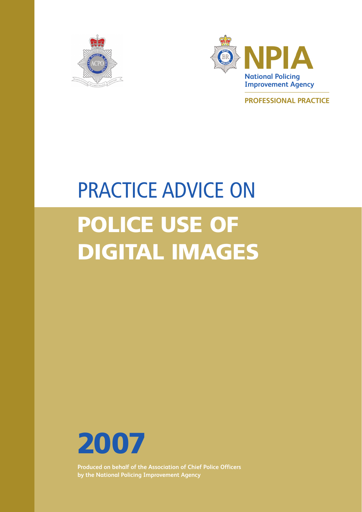



**PROFESSIONAL PRACTICE**

# PRACTICE ADVICE ON **POLICE USE OF DIGITAL IMAGES**



**Produced on behalf of the Association of Chief Police Officers by the National Policing Improvement Agency**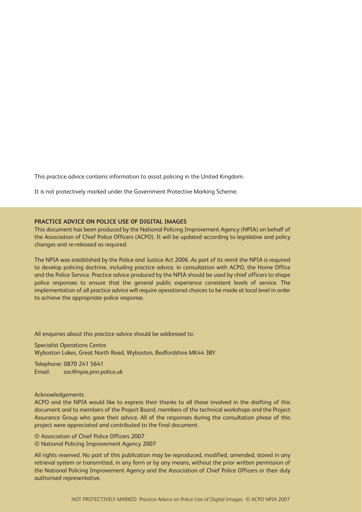This practice advice contains information to assist policing in the United Kingdom.

It is not protectively marked under the Government Protective Marking Scheme.

#### **PRACTICE ADVICE ON POLICE USE OF DIGITAL IMAGES**

This document has been produced by the National Policing Improvement Agency (NPIA) on behalf of the Association of Chief Police Officers (ACPO). It will be updated according to legislative and policy changes and re-released as required.

The NPIA was established by the Police and Justice Act 2006. As part of its remit the NPIA is required to develop policing doctrine, including practice advice, in consultation with ACPO, the Home Office and the Police Service. Practice advice produced by the NPIA should be used by chief officers to shape police responses to ensure that the general public experience consistent levels of service. The implementation of all practice advice will require operational choices to be made at local level in order to achieve the appropriate police response.

All enquiries about this practice advice should be addressed to:

Specialist Operations Centre Wyboston Lakes, Great North Road, Wyboston, Bedfordshire MK44 3BY

Telephone: 0870 241 5641 Email: soc@npia.pnn.police.uk

Acknowledgements

ACPO and the NPIA would like to express their thanks to all those involved in the drafting of this document and to members of the Project Board, members of the technical workshops and the Project Assurance Group who gave their advice. All of the responses during the consultation phase of this project were appreciated and contributed to the final document.

© Association of Chief Police Officers 2007

© National Policing Improvement Agency 2007

All rights reserved. No part of this publication may be reproduced, modified, amended, stored in any retrieval system or transmitted, in any form or by any means, without the prior written permission of the National Policing Improvement Agency and the Association of Chief Police Officers or their duly authorised representative.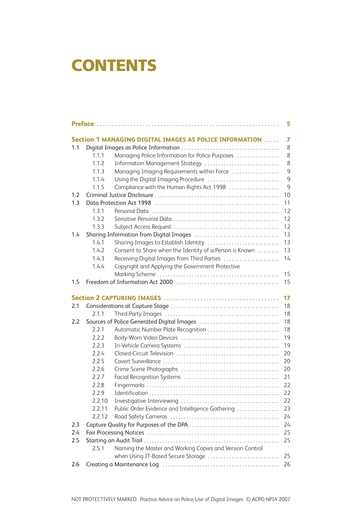### <span id="page-3-0"></span>**CONTENTS**

|     |        |                                                          | 5  |
|-----|--------|----------------------------------------------------------|----|
|     |        | Section 1 MANAGING DIGITAL IMAGES AS POLICE INFORMATION  | 7  |
| 1.1 |        |                                                          | 8  |
|     | 1.1.1  | Managing Police Information for Police Purposes          | 8  |
|     | 1.1.2  | Information Management Strategy                          | 8  |
|     | 1.1.3  | Managing Imaging Requirements within Force               | 9  |
|     | 1.1.4  | Using the Digital Imaging Procedure                      | 9  |
|     | 1.1.5  | Compliance with the Human Rights Act 1998                | 9  |
| 1.2 |        |                                                          | 10 |
| 1.3 |        |                                                          | 11 |
|     | 1.3.1  |                                                          | 12 |
|     | 1.3.2  |                                                          | 12 |
|     | 1.3.3  |                                                          | 12 |
| 1.4 |        | Sharing Information from Digital Images                  | 13 |
|     | 1.4.1  | Sharing Images to Establish Identity                     | 13 |
|     | 1.4.2  | Consent to Share when the Identity of a Person is Known  | 13 |
|     | 1.4.3  | Receiving Digital Images from Third Parties              | 14 |
|     | 1.4.4  | Copyright and Applying the Government Protective         |    |
|     |        |                                                          | 15 |
| 1.5 |        |                                                          | 15 |
|     |        |                                                          |    |
|     |        |                                                          | 17 |
| 2.1 |        |                                                          | 18 |
|     | 2.1.1  |                                                          | 18 |
| 2.2 |        |                                                          | 18 |
|     | 2.2.1  | Automatic Number Plate Recognition                       | 18 |
|     | 2.2.2  |                                                          | 19 |
|     | 2.2.3  |                                                          | 19 |
|     | 2.2.4  |                                                          | 20 |
|     | 2.2.5  |                                                          | 20 |
|     | 2.2.6  |                                                          | 20 |
|     | 2.2.7  |                                                          | 21 |
|     | 2.2.8  |                                                          | 22 |
|     | 2.2.9  |                                                          | 22 |
|     | 2.2.10 |                                                          | 22 |
|     | 2.2.11 | Public Order Evidence and Intelligence Gathering         | 23 |
|     | 2.2.12 |                                                          | 24 |
| 2.3 |        |                                                          | 24 |
| 2.4 |        |                                                          | 25 |
| 2.5 |        |                                                          | 25 |
|     | 2.5.1  | Naming the Master and Working Copies and Version Control |    |
|     |        | when Using IT-Based Secure Storage                       | 25 |
| 2.6 |        |                                                          | 26 |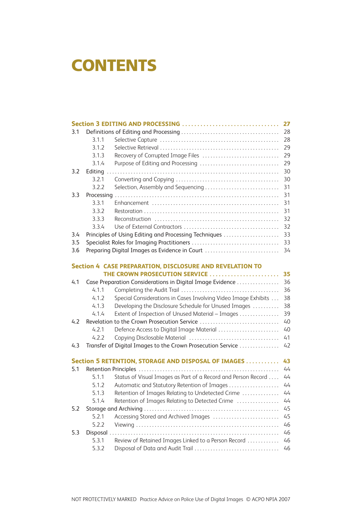### <span id="page-4-0"></span>**CONTENTS**

|     |         | Section 3 EDITING AND PROCESSING                               | 27 |
|-----|---------|----------------------------------------------------------------|----|
| 3.1 |         |                                                                | 28 |
|     | 3.1.1   |                                                                | 28 |
|     | 3.1.2   |                                                                | 29 |
|     | 3.1.3   | Recovery of Corrupted Image Files                              | 29 |
|     | 3.1.4   | Purpose of Editing and Processing                              | 29 |
| 3.2 | Editing |                                                                | 30 |
|     | 3.2.1   |                                                                | 30 |
|     | 3.2.2   | Selection, Assembly and Sequencing                             | 31 |
| 3.3 |         |                                                                | 31 |
|     | 3.3.1   |                                                                | 31 |
|     | 3.3.2   |                                                                | 31 |
|     | 3.3.3   |                                                                | 32 |
|     | 3.3.4   |                                                                | 32 |
| 3.4 |         | Principles of Using Editing and Processing Techniques          | 33 |
| 3.5 |         |                                                                | 33 |
| 3.6 |         | Preparing Digital Images as Evidence in Court                  | 34 |
|     |         | Section 4 CASE PREPARATION, DISCLOSURE AND REVELATION TO       |    |
|     |         | THE CROWN PROSECUTION SERVICE                                  | 35 |
| 4.1 |         | Case Preparation Considerations in Digital Image Evidence      | 36 |
|     | 4.1.1   |                                                                | 36 |
|     | 4.1.2   | Special Considerations in Cases Involving Video Image Exhibits | 38 |
|     | 4.1.3   | Developing the Disclosure Schedule for Unused Images           | 38 |
|     | 4.1.4   | Extent of Inspection of Unused Material - Images               | 39 |
| 4.2 |         | Revelation to the Crown Prosecution Service                    | 40 |
|     | 4.2.1   | Defence Access to Digital Image Material                       | 40 |
|     | 4.2.2   |                                                                | 41 |
| 4.3 |         | Transfer of Digital Images to the Crown Prosecution Service    | 42 |
|     |         | Section 5 RETENTION, STORAGE AND DISPOSAL OF IMAGES            | 43 |
| 5.1 |         |                                                                | 44 |
|     | 5.1.1   | Status of Visual Images as Part of a Record and Person Record  | 44 |
|     | 5.1.2   | Automatic and Statutory Retention of Images                    | 44 |
|     | 5.1.3   | Retention of Images Relating to Undetected Crime               | 44 |
|     | 5.1.4   | Retention of Images Relating to Detected Crime                 | 44 |
| 5.2 |         |                                                                | 45 |
|     | 5.2.1   | Accessing Stored and Archived Images                           | 45 |
|     | 5.2.2   |                                                                | 46 |
| 5.3 |         |                                                                | 46 |
|     | 5.3.1   | Review of Retained Images Linked to a Person Record            | 46 |
|     | 5.3.2   |                                                                | 46 |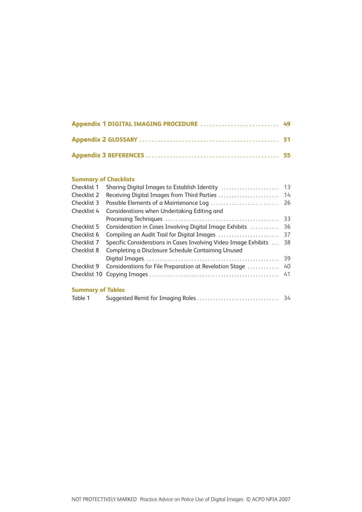<span id="page-5-0"></span>

| Appendix 1 DIGITAL IMAGING PROCEDURE  49 |  |
|------------------------------------------|--|
|                                          |  |
|                                          |  |

#### **Summary of Checklists**

| Checklist 1              |                                                                 |    |
|--------------------------|-----------------------------------------------------------------|----|
| Checklist 2              | Receiving Digital Images from Third Parties                     | 14 |
| Checklist 3              | Possible Elements of a Maintenance Log                          | 26 |
| Checklist 4              | Considerations when Undertaking Editing and                     |    |
|                          |                                                                 | 33 |
| Checklist 5              | Consideration in Cases Involving Digital Image Exhibits         | 36 |
| Checklist 6              | Compiling an Audit Trail for Digital Images                     | 37 |
| Checklist 7              | Specific Considerations in Cases Involving Video Image Exhibits | 38 |
| Checklist 8              | Completing a Disclosure Schedule Containing Unused              |    |
|                          |                                                                 | 39 |
| Checklist 9              | Considerations for File Preparation at Revelation Stage         | 40 |
|                          |                                                                 | 41 |
| <b>Summary of Tables</b> |                                                                 |    |
| Table 1                  |                                                                 |    |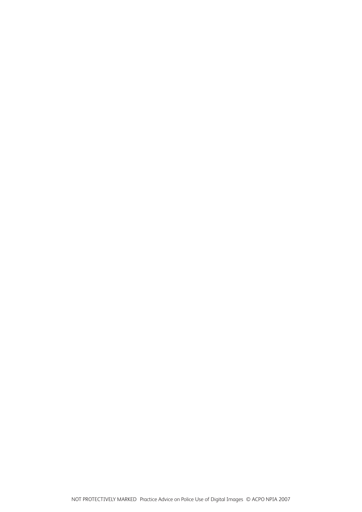[NOT PROTECTIVELY MARKED Practice Advice on Police Use of Digital Images © ACPO NPIA 2007](#page-3-0)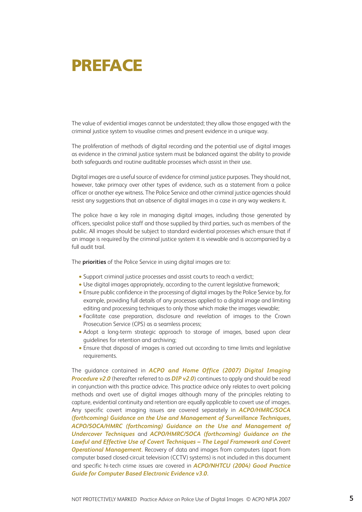### <span id="page-7-0"></span>**PREFACE**

The value of evidential images cannot be understated; they allow those engaged with the criminal justice system to visualise crimes and present evidence in a unique way.

The proliferation of methods of digital recording and the potential use of digital images as evidence in the criminal justice system must be balanced against the ability to provide both safeguards and routine auditable processes which assist in their use.

Digital images are a useful source of evidence for criminal justice purposes. They should not, however, take primacy over other types of evidence, such as a statement from a police officer or another eye witness. The Police Service and other criminal justice agencies should resist any suggestions that an absence of digital images in a case in any way weakens it.

The police have a key role in managing digital images, including those generated by officers, specialist police staff and those supplied by third parties, such as members of the public. All images should be subject to standard evidential processes which ensure that if an image is required by the criminal justice system it is viewable and is accompanied by a full audit trail.

The **priorities** of the Police Service in using digital images are to:

- Support criminal justice processes and assist courts to reach a verdict;
- Use digital images appropriately, according to the current legislative framework;
- Ensure public confidence in the processing of digital images by the Police Service by, for example, providing full details of any processes applied to a digital image and limiting editing and processing techniques to only those which make the images viewable;
- Facilitate case preparation, disclosure and revelation of images to the Crown Prosecution Service (CPS) as a seamless process;
- Adopt a long-term strategic approach to storage of images, based upon clear guidelines for retention and archiving;
- Ensure that disposal of images is carried out according to time limits and legislative requirements.

The guidance contained in *ACPO and Home Office (2007) Digital Imaging* **Procedure v2.0** (hereafter referred to as **DIP v2.0**) continues to apply and should be read in conjunction with this practice advice. This practice advice only relates to overt policing methods and overt use of digital images although many of the principles relating to capture, evidential continuity and retention are equally applicable to covert use of images. Any specific covert imaging issues are covered separately in *ACPO/HMRC/SOCA (forthcoming) Guidance on the Use and Management of Surveillance Techniques, ACPO/SOCA/HMRC (forthcoming) Guidance on the Use and Management of Undercover Techniques* and *ACPO/HMRC/SOCA (forthcoming) Guidance on the Lawful and Effective Use of Covert Techniques – The Legal Framework and Covert Operational Management.* Recovery of data and images from computers (apart from computer based closed-circuit television (CCTV) systems) is not included in this document and specific hi-tech crime issues are covered in *ACPO/NHTCU (2004) Good Practice Guide for Computer Based Electronic Evidence v3.0.*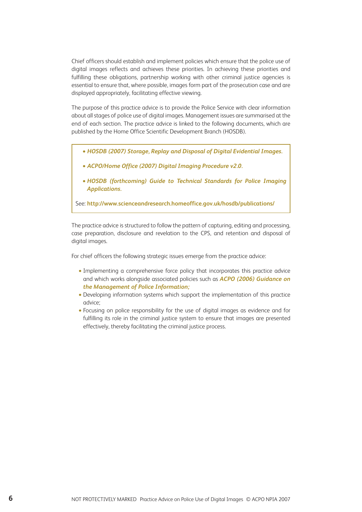Chief officers should establish and implement policies which ensure that the police use of digital images reflects and achieves these priorities. In achieving these priorities and fulfilling these obligations, partnership working with other criminal justice agencies is essential to ensure that, where possible, images form part of the prosecution case and are displayed appropriately, facilitating effective viewing.

The purpose of this practice advice is to provide the Police Service with clear information about all stages of police use of digital images. Management issues are summarised at the end of each section. The practice advice is linked to the following documents, which are published by the Home Office Scientific Development Branch (HOSDB).

- *HOSDB (2007) Storage, Replay and Disposal of Digital Evidential Images.*
- *ACPO/Home Office (2007) Digital Imaging Procedure v2.0.*
- *HOSDB (forthcoming) Guide to Technical Standards for Police Imaging Applications.*

See: **<http://www.scienceandresearch.homeoffice.gov.uk/hosdb/publications/>**

The practice advice is structured to follow the pattern of capturing, editing and processing, case preparation, disclosure and revelation to the CPS, and retention and disposal of digital images.

For chief officers the following strategic issues emerge from the practice advice:

- Implementing a comprehensive force policy that incorporates this practice advice and which works alongside associated policies such as *ACPO (2006) Guidance on the Management of Police Information;*
- Developing information systems which support the implementation of this practice advice;
- Focusing on police responsibility for the use of digital images as evidence and for fulfilling its role in the criminal justice system to ensure that images are presented effectively, thereby facilitating the criminal justice process.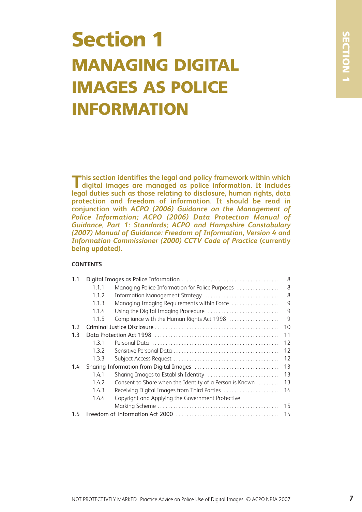## <span id="page-9-0"></span>**Section 1 MANAGING DIGITAL IMAGES AS POLICE INFORMATION**

**This section identifies the legal and policy framework within which digital images are managed as police information. It includes legal duties such as those relating to disclosure, human rights, data protection and freedom of information. It should be read in conjunction with** *ACPO (2006) Guidance on the Management of Police Information; ACPO (2006) Data Protection Manual of Guidance, Part 1: Standards; ACPO and Hampshire Constabulary (2007) Manual of Guidance: Freedom of Information, Version 4* **and Information Commissioner (2000) CCTV Code of Practice (currently being updated).**

#### **CONTENTS**

| 1.1 |       |                                                         | 8  |
|-----|-------|---------------------------------------------------------|----|
|     | 1.1.1 | Managing Police Information for Police Purposes         | 8  |
|     | 1.1.2 | Information Management Strategy                         | 8  |
|     | 1.1.3 | Managing Imaging Requirements within Force              | 9  |
|     | 1.1.4 | Using the Digital Imaging Procedure                     | 9  |
|     | 1.1.5 | Compliance with the Human Rights Act 1998               | 9  |
| 1.2 |       |                                                         | 10 |
| 1.3 |       |                                                         | 11 |
|     | 1.3.1 |                                                         | 12 |
|     | 1.3.2 |                                                         | 12 |
|     | 1.3.3 |                                                         | 12 |
| 1.4 |       | Sharing Information from Digital Images                 | 13 |
|     | 1.4.1 | Sharing Images to Establish Identity                    | 13 |
|     | 1.4.2 | Consent to Share when the Identity of a Person is Known | 13 |
|     | 1.4.3 | Receiving Digital Images from Third Parties             | 14 |
|     | 1.4.4 | Copyright and Applying the Government Protective        |    |
|     |       |                                                         | 15 |
| 1.5 |       |                                                         | 15 |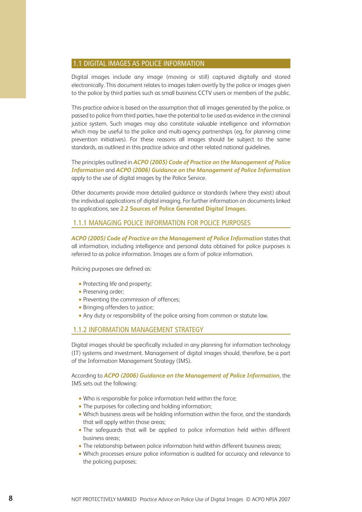#### <span id="page-10-1"></span><span id="page-10-0"></span>1.1 DIGITAL IMAGES AS POLICE INFORMATION

Digital images include any image (moving or still) captured digitally and stored electronically. This document relates to images taken overtly by the police or images given to the police by third parties such as small business CCTV users or members of the public.

This practice advice is based on the assumption that all images generated by the police, or passed to police from third parties, have the potential to be used as evidence in the criminal justice system. Such images may also constitute valuable intelligence and information which may be useful to the police and multi-agency partnerships (eg, for planning crime prevention initiatives). For these reasons all images should be subject to the same standards, as outlined in this practice advice and other related national guidelines.

The principles outlined in *ACPO (2005) Code of Practice on the Management of Police Information* and *ACPO (2006) Guidance on the Management of Police Information* apply to the use of digital images by the Police Service.

Other documents provide more detailed guidance or standards (where they exist) about the individual applications of digital imaging. For further information on documents linked to applications, see **[2.2 Sources of Police Generated Digital Images.](#page-20-1)**

#### 1.1.1 MANAGING POLICE INFORMATION FOR POLICE PURPOSES

*ACPO (2005) Code of Practice on the Management of Police Information* states that all information, including intelligence and personal data obtained for police purposes is referred to as police information. Images are a form of police information.

Policing purposes are defined as:

- Protecting life and property;
- Preserving order;
- Preventing the commission of offences;
- Bringing offenders to justice;
- Any duty or responsibility of the police arising from common or statute law.

#### 1.1.2 INFORMATION MANAGEMENT STRATEGY

Digital images should be specifically included in any planning for information technology (IT) systems and investment. Management of digital images should, therefore, be a part of the Information Management Strategy (IMS).

According to *ACPO (2006) Guidance on the Management of Police Information,* the IMS sets out the following:

- Who is responsible for police information held within the force;
- The purposes for collecting and holding information;
- Which business areas will be holding information within the force, and the standards that will apply within those areas;
- The safeguards that will be applied to police information held within different business areas;
- The relationship between police information held within different business areas;
- Which processes ensure police information is audited for accuracy and relevance to the policing purposes;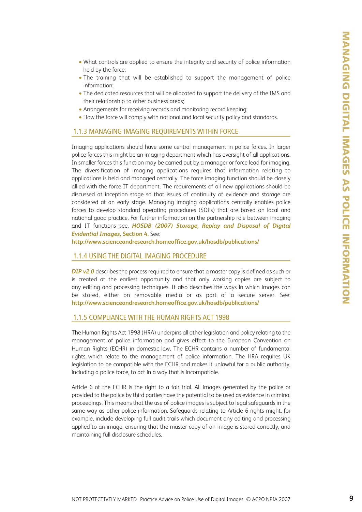- <span id="page-11-1"></span><span id="page-11-0"></span>• What controls are applied to ensure the integrity and security of police information held by the force;
- The training that will be established to support the management of police information;
- The dedicated resources that will be allocated to support the delivery of the IMS and their relationship to other business areas;
- Arrangements for receiving records and monitoring record keeping;
- How the force will comply with national and local security policy and standards.

#### 1.1.3 MANAGING IMAGING REQUIREMENTS WITHIN FORCE

Imaging applications should have some central management in police forces. In larger police forces this might be an imaging department which has oversight of all applications. In smaller forces this function may be carried out by a manager or force lead for imaging. The diversification of imaging applications requires that information relating to applications is held and managed centrally. The force imaging function should be closely allied with the force IT department. The requirements of all new applications should be discussed at inception stage so that issues of continuity of evidence and storage are considered at an early stage. Managing imaging applications centrally enables police forces to develop standard operating procedures (SOPs) that are based on local and national good practice. For further information on the partnership role between imaging and IT functions see, *HOSDB (2007) Storage, Replay and Disposal of Digital Evidential Images,* **Section 4.** See:

**<http://www.scienceandresearch.homeoffice.gov.uk/hosdb/publications/>**

#### 1.1.4 USING THE DIGITAL IMAGING PROCEDURE

**DIP v2.0** describes the process required to ensure that a master copy is defined as such or is created at the earliest opportunity and that only working copies are subject to any editing and processing techniques. It also describes the ways in which images can be stored, either on removable media or as part of a secure server. See: **<http://www.scienceandresearch.homeoffice.gov.uk/hosdb/publications/>**

#### 1.1.5 COMPLIANCE WITH THE HUMAN RIGHTS ACT 1998

The Human Rights Act 1998 (HRA) underpins all other legislation and policy relating to the management of police information and gives effect to the European Convention on Human Rights (ECHR) in domestic law. The ECHR contains a number of fundamental rights which relate to the management of police information. The HRA requires UK legislation to be compatible with the ECHR and makes it unlawful for a public authority, including a police force, to act in a way that is incompatible.

Article 6 of the ECHR is the right to a fair trial. All images generated by the police or provided to the police by third parties have the potential to be used as evidence in criminal proceedings. This means that the use of police images is subject to legal safeguards in the same way as other police information. Safeguards relating to Article 6 rights might, for example, include developing full audit trails which document any editing and processing applied to an image, ensuring that the master copy of an image is stored correctly, and maintaining full disclosure schedules.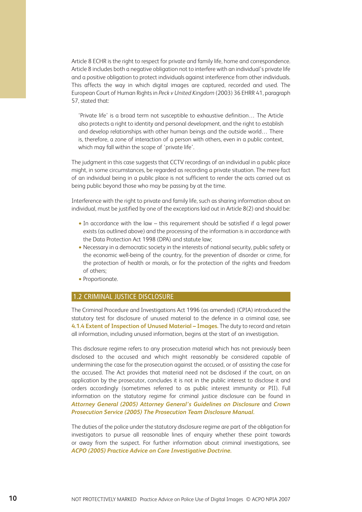<span id="page-12-1"></span><span id="page-12-0"></span>Article 8 ECHR is the right to respect for private and family life, home and correspondence. Article 8 includes both a negative obligation not to interfere with an individual's private life and a positive obligation to protect individuals against interference from other individuals. This affects the way in which digital images are captured, recorded and used. The European Court of Human Rights in *Peck v United Kingdom* (2003) 36 EHRR 41, paragraph 57, stated that:

'Private life' is a broad term not susceptible to exhaustive definition… The Article also protects a right to identity and personal development, and the right to establish and develop relationships with other human beings and the outside world… There is, therefore, a zone of interaction of a person with others, even in a public context, which may fall within the scope of 'private life'.

The judgment in this case suggests that CCTV recordings of an individual in a public place might, in some circumstances, be regarded as recording a private situation. The mere fact of an individual being in a public place is not sufficient to render the acts carried out as being public beyond those who may be passing by at the time.

Interference with the right to private and family life, such as sharing information about an individual, must be justified by one of the exceptions laid out in Article 8(2) and should be:

- In accordance with the law this requirement should be satisfied if a legal power exists (as outlined above) and the processing of the information is in accordance with the Data Protection Act 1998 (DPA) and statute law;
- Necessary in a democratic society in the interests of national security, public safety or the economic well-being of the country, for the prevention of disorder or crime, for the protection of health or morals, or for the protection of the rights and freedom of others;
- Proportionate.

#### 1.2 CRIMINAL JUSTICE DISCLOSURE

The Criminal Procedure and Investigations Act 1996 (as amended) (CPIA) introduced the statutory test for disclosure of unused material to the defence in a criminal case, see **[4.1.4 Extent of Inspection of Unused Material – Images.](#page-41-1)** The duty to record and retain all information, including unused information, begins at the start of an investigation.

This disclosure regime refers to any prosecution material which has not previously been disclosed to the accused and which might reasonably be considered capable of undermining the case for the prosecution against the accused, or of assisting the case for the accused. The Act provides that material need not be disclosed if the court, on an application by the prosecutor, concludes it is not in the public interest to disclose it and orders accordingly (sometimes referred to as public interest immunity or PII). Full information on the statutory regime for criminal justice disclosure can be found in *Attorney General (2005) Attorney General's Guidelines on Disclosure* and *Crown Prosecution Service (2005) The Prosecution Team Disclosure Manual.* 

The duties of the police under the statutory disclosure regime are part of the obligation for investigators to pursue all reasonable lines of enquiry whether these point towards or away from the suspect. For further information about criminal investigations, see *ACPO (2005) Practice Advice on Core Investigative Doctrine.*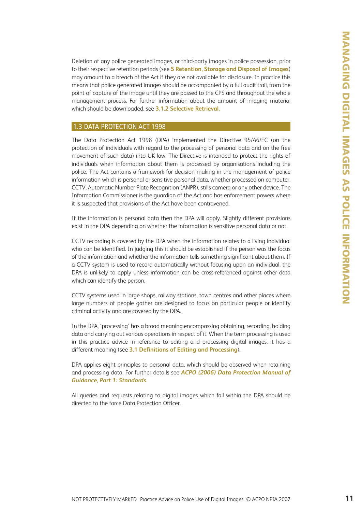<span id="page-13-1"></span><span id="page-13-0"></span>Deletion of any police generated images, or third-party images in police possession, prior to their respective retention periods (see **[5 Retention, Storage and Disposal of Images](#page-45-1)**) may amount to a breach of the Act if they are not available for disclosure. In practice this means that police generated images should be accompanied by a full audit trail, from the point of capture of the image until they are passed to the CPS and throughout the whole management process. For further information about the amount of imaging material which should be downloaded, see **[3.1.2 Selective Retrieval.](#page-31-1)** 

#### 1.3 DATA PROTECTION ACT 1998

The Data Protection Act 1998 (DPA) implemented the Directive 95/46/EC (on the protection of individuals with regard to the processing of personal data and on the free movement of such data) into UK law. The Directive is intended to protect the rights of individuals when information about them is processed by organisations including the police. The Act contains a framework for decision making in the management of police information which is personal or sensitive personal data, whether processed on computer, CCTV, Automatic Number Plate Recognition (ANPR), stills camera or any other device. The Information Commissioner is the guardian of the Act and has enforcement powers where it is suspected that provisions of the Act have been contravened.

If the information is personal data then the DPA will apply. Slightly different provisions exist in the DPA depending on whether the information is sensitive personal data or not.

CCTV recording is covered by the DPA when the information relates to a living individual who can be identified. In judging this it should be established if the person was the focus of the information and whether the information tells something significant about them. If a CCTV system is used to record automatically without focusing upon an individual, the DPA is unlikely to apply unless information can be cross-referenced against other data which can identify the person.

CCTV systems used in large shops, railway stations, town centres and other places where large numbers of people gather are designed to focus on particular people or identify criminal activity and are covered by the DPA.

In the DPA, 'processing' has a broad meaning encompassing obtaining, recording, holding data and carrying out various operations in respect of it. When the term processing is used in this practice advice in reference to editing and processing digital images, it has a different meaning (see **[3.1 Definitions of Editing and Processing](#page-30-1)**).

DPA applies eight principles to personal data, which should be observed when retaining and processing data. For further details see *ACPO (2006) Data Protection Manual of Guidance, Part 1: Standards.*

All queries and requests relating to digital images which fall within the DPA should be directed to the force Data Protection Officer.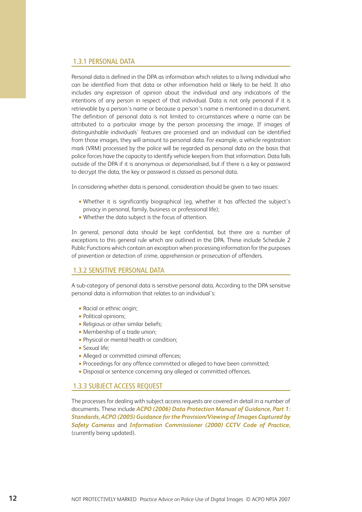#### <span id="page-14-1"></span><span id="page-14-0"></span>1.3.1 PERSONAL DATA

Personal data is defined in the DPA as information which relates to a living individual who can be identified from that data or other information held or likely to be held. It also includes any expression of opinion about the individual and any indications of the intentions of any person in respect of that individual. Data is not only personal if it is retrievable by a person's name or because a person's name is mentioned in a document. The definition of personal data is not limited to circumstances where a name can be attributed to a particular image by the person processing the image. If images of distinguishable individuals' features are processed and an individual can be identified from those images, they will amount to personal data. For example, a vehicle registration mark (VRM) processed by the police will be regarded as personal data on the basis that police forces have the capacity to identify vehicle keepers from that information. Data falls outside of the DPA if it is anonymous or depersonalised, but if there is a key or password to decrypt the data, the key or password is classed as personal data.

In considering whether data is personal, consideration should be given to two issues:

- Whether it is significantly biographical (eg, whether it has affected the subject's privacy in personal, family, business or professional life);
- Whether the data subject is the focus of attention.

In general, personal data should be kept confidential, but there are a number of exceptions to this general rule which are outlined in the DPA. These include Schedule 2 Public Functions which contain an exception when processing information for the purposes of prevention or detection of crime, apprehension or prosecution of offenders.

#### 1.3.2 SENSITIVE PERSONAL DATA

A sub-category of personal data is sensitive personal data. According to the DPA sensitive personal data is information that relates to an individual's:

- Racial or ethnic origin;
- Political opinions;
- Religious or other similar beliefs;
- Membership of a trade union;
- Physical or mental health or condition;
- Sexual life;
- Alleged or committed criminal offences;
- Proceedings for any offence committed or alleged to have been committed;
- Disposal or sentence concerning any alleged or committed offences.

#### 1.3.3 SUBJECT ACCESS REQUEST

The processes for dealing with subject access requests are covered in detail in a number of documents. These include *ACPO (2006) Data Protection Manual of Guidance, Part 1: Standards, ACPO (2005) Guidance for the Provision/Viewing of Images Captured by Safety Cameras* and *Information Commissioner (2000) CCTV Code of Practice,* (currently being updated).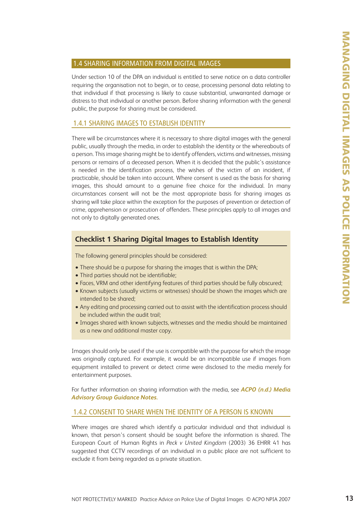#### <span id="page-15-1"></span><span id="page-15-0"></span>1.4 SHARING INFORMATION FROM DIGITAL IMAGES

Under section 10 of the DPA an individual is entitled to serve notice on a data controller requiring the organisation not to begin, or to cease, processing personal data relating to that individual if that processing is likely to cause substantial, unwarranted damage or distress to that individual or another person. Before sharing information with the general public, the purpose for sharing must be considered.

#### 1.4.1 SHARING IMAGES TO ESTABLISH IDENTITY

There will be circumstances where it is necessary to share digital images with the general public, usually through the media, in order to establish the identity or the whereabouts of a person. This image sharing might be to identify offenders, victims and witnesses, missing persons or remains of a deceased person. When it is decided that the public's assistance is needed in the identification process, the wishes of the victim of an incident, if practicable, should be taken into account. Where consent is used as the basis for sharing images, this should amount to a genuine free choice for the individual. In many circumstances consent will not be the most appropriate basis for sharing images as sharing will take place within the exception for the purposes of prevention or detection of crime, apprehension or prosecution of offenders. These principles apply to all images and not only to digitally generated ones.

#### **Checklist 1 Sharing Digital Images to Establish Identity**

The following general principles should be considered:

- There should be a purpose for sharing the images that is within the DPA;
- Third parties should not be identifiable;
- Faces, VRM and other identifying features of third parties should be fully obscured;
- Known subjects (usually victims or witnesses) should be shown the images which are intended to be shared;
- Any editing and processing carried out to assist with the identification process should be included within the audit trail;
- Images shared with known subjects, witnesses and the media should be maintained as a new and additional master copy.

Images should only be used if the use is compatible with the purpose for which the image was originally captured. For example, it would be an incompatible use if images from equipment installed to prevent or detect crime were disclosed to the media merely for entertainment purposes.

For further information on sharing information with the media, see *ACPO (n.d.) Media Advisory Group Guidance Notes.*

#### 1.4.2 CONSENT TO SHARE WHEN THE IDENTITY OF A PERSON IS KNOWN

Where images are shared which identify a particular individual and that individual is known, that person's consent should be sought before the information is shared. The European Court of Human Rights in *Peck v United Kingdom* (2003) 36 EHRR 41 has suggested that CCTV recordings of an individual in a public place are not sufficient to exclude it from being regarded as a private situation.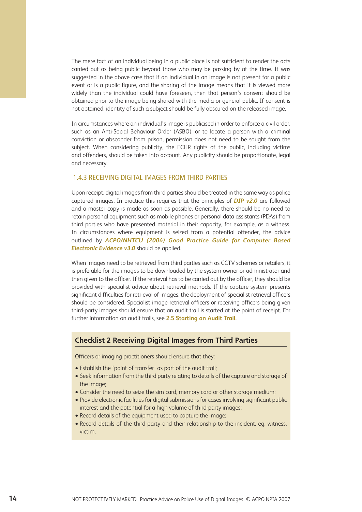<span id="page-16-2"></span><span id="page-16-1"></span><span id="page-16-0"></span>The mere fact of an individual being in a public place is not sufficient to render the acts carried out as being public beyond those who may be passing by at the time. It was suggested in the above case that if an individual in an image is not present for a public event or is a public figure, and the sharing of the image means that it is viewed more widely than the individual could have foreseen, then that person's consent should be obtained prior to the image being shared with the media or general public. If consent is not obtained, identity of such a subject should be fully obscured on the released image.

In circumstances where an individual's image is publicised in order to enforce a civil order, such as an Anti-Social Behaviour Order (ASBO), or to locate a person with a criminal conviction or absconder from prison, permission does not need to be sought from the subject. When considering publicity, the ECHR rights of the public, including victims and offenders, should be taken into account. Any publicity should be proportionate, legal and necessary.

#### 1.4.3 RECEIVING DIGITAL IMAGES FROM THIRD PARTIES

Upon receipt, digital images from third parties should be treated in the same way as police captured images. In practice this requires that the principles of *DIP v2.0* are followed and a master copy is made as soon as possible. Generally, there should be no need to retain personal equipment such as mobile phones or personal data assistants (PDAs) from third parties who have presented material in their capacity, for example, as a witness. In circumstances where equipment is seized from a potential offender, the advice outlined by *ACPO/NHTCU (2004) Good Practice Guide for Computer Based Electronic Evidence v3.0* should be applied.

When images need to be retrieved from third parties such as CCTV schemes or retailers, it is preferable for the images to be downloaded by the system owner or administrator and then given to the officer. If the retrieval has to be carried out by the officer, they should be provided with specialist advice about retrieval methods. If the capture system presents significant difficulties for retrieval of images, the deployment of specialist retrieval officers should be considered. Specialist image retrieval officers or receiving officers being given third-party images should ensure that an audit trail is started at the point of receipt. For further information on audit trails, see **[2.5 Starting an Audit Trail.](#page-27-1)**

#### **Checklist 2 Receiving Digital Images from Third Parties**

Officers or imaging practitioners should ensure that they:

- Establish the 'point of transfer' as part of the audit trail;
- Seek information from the third party relating to details of the capture and storage of the image;
- Consider the need to seize the sim card, memory card or other storage medium;
- Provide electronic facilities for digital submissions for cases involving significant public interest and the potential for a high volume of third-party images;
- Record details of the equipment used to capture the image;
- Record details of the third party and their relationship to the incident, eg, witness, victim.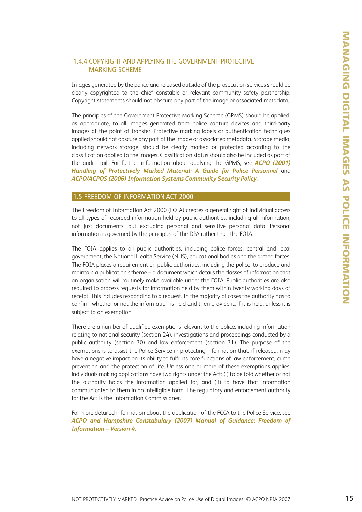#### <span id="page-17-1"></span><span id="page-17-0"></span>1.4.4 COPYRIGHT AND APPLYING THE GOVERNMENT PROTECTIVE MARKING SCHEME

Images generated by the police and released outside of the prosecution services should be clearly copyrighted to the chief constable or relevant community safety partnership. Copyright statements should not obscure any part of the image or associated metadata.

The principles of the Government Protective Marking Scheme (GPMS) should be applied, as appropriate, to all images generated from police capture devices and third-party images at the point of transfer. Protective marking labels or authentication techniques applied should not obscure any part of the image or associated metadata. Storage media, including network storage, should be clearly marked or protected according to the classification applied to the images. Classification status should also be included as part of the audit trail. For further information about applying the GPMS, see *ACPO (2001) Handling of Protectively Marked Material: A Guide for Police Personnel* and *ACPO/ACPOS (2006) Information Systems Community Security Policy.* 

#### 1.5 FREEDOM OF INFORMATION ACT 2000

The Freedom of Information Act 2000 (FOIA) creates a general right of individual access to all types of recorded information held by public authorities, including all information, not just documents, but excluding personal and sensitive personal data. Personal information is governed by the principles of the DPA rather than the FOIA.

The FOIA applies to all public authorities, including police forces, central and local government, the National Health Service (NHS), educational bodies and the armed forces. The FOIA places a requirement on public authorities, including the police, to produce and maintain a publication scheme – a document which details the classes of information that an organisation will routinely make available under the FOIA. Public authorities are also required to process requests for information held by them within twenty working days of receipt. This includes responding to a request. In the majority of cases the authority has to confirm whether or not the information is held and then provide it, if it is held, unless it is subject to an exemption.

There are a number of qualified exemptions relevant to the police, including information relating to national security (section 24), investigations and proceedings conducted by a public authority (section 30) and law enforcement (section 31). The purpose of the exemptions is to assist the Police Service in protecting information that, if released, may have a negative impact on its ability to fulfil its core functions of law enforcement, crime prevention and the protection of life. Unless one or more of these exemptions applies, individuals making applications have two rights under the Act: (i) to be told whether or not the authority holds the information applied for, and (ii) to have that information communicated to them in an intelligible form. The regulatory and enforcement authority for the Act is the Information Commissioner.

For more detailed information about the application of the FOIA to the Police Service, see *ACPO and Hampshire Constabulary (2007) Manual of Guidance: Freedom of Information – Version 4.*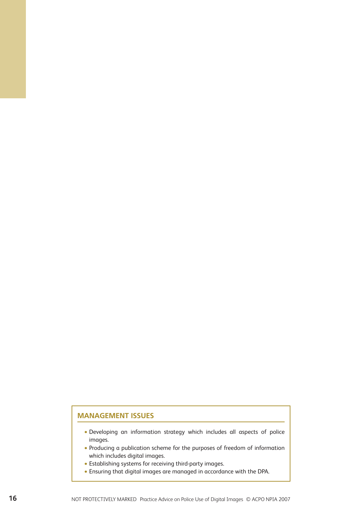#### **MANAGEMENT ISSUES**

- Developing an information strategy which includes all aspects of police images.
- Producing a publication scheme for the purposes of freedom of information which includes digital images.
- Establishing systems for receiving third-party images.
- Ensuring that digital images are managed in accordance with the DPA.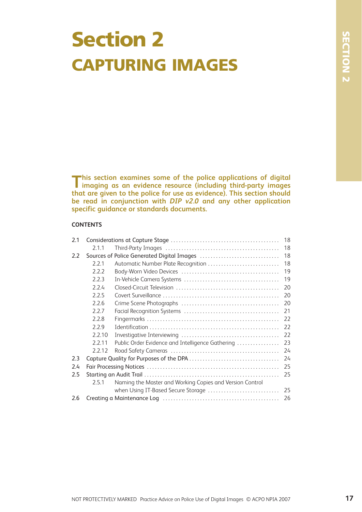## <span id="page-19-0"></span>**Section 2 CAPTURING IMAGES**

**This section examines some of the police applications of digital imaging as an evidence resource (including third-party images that are given to the police for use as evidence). This section should be read in conjunction with** *DIP v2.0* **and any other application specific guidance or standards documents***.*

#### **CONTENTS**

| 2.1 |        |                                                          | 18 |
|-----|--------|----------------------------------------------------------|----|
|     | 2.1.1  |                                                          | 18 |
| 2.2 |        | Sources of Police Generated Digital Images               | 18 |
|     | 2.2.1  | Automatic Number Plate Recognition                       | 18 |
|     | 2.2.2  |                                                          | 19 |
|     | 2.2.3  |                                                          | 19 |
|     | 2.2.4  |                                                          | 20 |
|     | 2.2.5  |                                                          | 20 |
|     | 2.2.6  |                                                          | 20 |
|     | 2.2.7  |                                                          | 21 |
|     | 2.2.8  |                                                          | 22 |
|     | 2.2.9  |                                                          | 22 |
|     | 2.2.10 |                                                          | 22 |
|     | 2.2.11 | Public Order Evidence and Intelligence Gathering         | 23 |
|     | 2.2.12 |                                                          | 24 |
| 2.3 |        |                                                          | 24 |
| 2.4 |        |                                                          | 25 |
| 2.5 |        |                                                          | 25 |
|     | 2.5.1  | Naming the Master and Working Copies and Version Control |    |
|     |        | when Using IT-Based Secure Storage                       | 25 |
| 2.6 |        |                                                          | 26 |
|     |        |                                                          |    |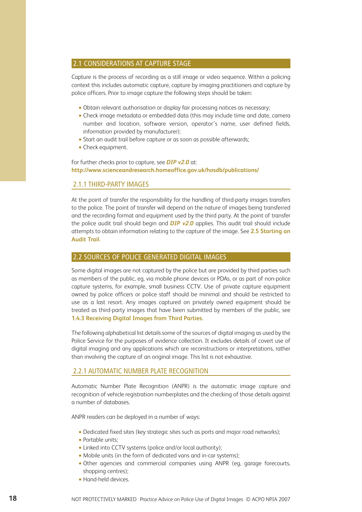#### <span id="page-20-2"></span><span id="page-20-1"></span><span id="page-20-0"></span>2.1 CONSIDERATIONS AT CAPTURE STAGE

Capture is the process of recording as a still image or video sequence. Within a policing context this includes automatic capture, capture by imaging practitioners and capture by police officers. Prior to image capture the following steps should be taken:

- Obtain relevant authorisation or display fair processing notices as necessary;
- Check image metadata or embedded data (this may include time and date, camera number and location, software version, operator's name, user defined fields, information provided by manufacturer);
- Start an audit trail before capture or as soon as possible afterwards;
- Check equipment.

For further checks prior to capture, see *DIP v2.0* at: **<http://www.scienceandresearch.homeoffice.gov.uk/hosdb/publications/>**

#### 2.1.1 THIRD-PARTY IMAGES

At the point of transfer the responsibility for the handling of third-party images transfers to the police. The point of transfer will depend on the nature of images being transferred and the recording format and equipment used by the third party. At the point of transfer the police audit trail should begin and *DIP v2.0* applies. This audit trail should include attempts to obtain information relating to the capture of the image. See **[2.5 Starting an](#page-27-2) [Audit Trail.](#page-27-2)**

#### 2.2 SOURCES OF POLICE GENERATED DIGITAL IMAGES

Some digital images are not captured by the police but are provided by third parties such as members of the public, eg, via mobile phone devices or PDAs, or as part of non-police capture systems, for example, small business CCTV. Use of private capture equipment owned by police officers or police staff should be minimal and should be restricted to use as a last resort. Any images captured on privately owned equipment should be treated as third-party images that have been submitted by members of the public, see **[1.4.3 Receiving Digital Images from Third Parties.](#page-16-2)** 

The following alphabetical list details some of the sources of digital imaging as used by the Police Service for the purposes of evidence collection. It excludes details of covert use of digital imaging and any applications which are reconstructions or interpretations, rather than involving the capture of an original image. This list is not exhaustive.

#### 2.2.1 AUTOMATIC NUMBER PLATE RECOGNITION

Automatic Number Plate Recognition (ANPR) is the automatic image capture and recognition of vehicle registration numberplates and the checking of those details against a number of databases.

ANPR readers can be deployed in a number of ways:

- Dedicated fixed sites (key strategic sites such as ports and major road networks);
- Portable units:
- Linked into CCTV systems (police and/or local authority);
- Mobile units (in the form of dedicated vans and in-car systems);
- Other agencies and commercial companies using ANPR (eg, garage forecourts, shopping centres):
- Hand-held devices.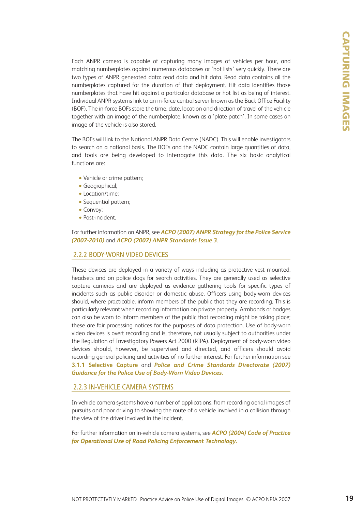<span id="page-21-1"></span><span id="page-21-0"></span>Each ANPR camera is capable of capturing many images of vehicles per hour, and matching numberplates against numerous databases or 'hot lists' very quickly. There are two types of ANPR generated data: read data and hit data. Read data contains all the numberplates captured for the duration of that deployment. Hit data identifies those numberplates that have hit against a particular database or hot list as being of interest. Individual ANPR systems link to an in-force central server known as the Back Office Facility (BOF). The in-force BOFs store the time, date, location and direction of travel of the vehicle together with an image of the numberplate, known as a 'plate patch'. In some cases an image of the vehicle is also stored.

The BOFs will link to the National ANPR Data Centre (NADC). This will enable investigators to search on a national basis. The BOFs and the NADC contain large quantities of data, and tools are being developed to interrogate this data. The six basic analytical functions are:

- Vehicle or crime pattern;
- Geographical;
- Location/time;
- Sequential pattern;
- Convoy;
- Post-incident.

For further information on ANPR, see *ACPO (2007) ANPR Strategy for the Police Service (2007-2010)* and *ACPO (2007) ANPR Standards Issue 3.*

#### 2.2.2 BODY-WORN VIDEO DEVICES

These devices are deployed in a variety of ways including as protective vest mounted, headsets and on police dogs for search activities. They are generally used as selective capture cameras and are deployed as evidence gathering tools for specific types of incidents such as public disorder or domestic abuse. Officers using body-worn devices should, where practicable, inform members of the public that they are recording. This is particularly relevant when recording information on private property. Armbands or badges can also be worn to inform members of the public that recording might be taking place; these are fair processing notices for the purposes of data protection. Use of body-worn video devices is overt recording and is, therefore, not usually subject to authorities under the Regulation of Investigatory Powers Act 2000 (RIPA). Deployment of body-worn video devices should, however, be supervised and directed, and officers should avoid recording general policing and activities of no further interest. For further information see **[3.1.1 Selective Capture](#page-30-1)** and *Police and Crime Standards Directorate (2007) Guidance for the Police Use of Body-Worn Video Devices.* 

#### 2.2.3 IN-VEHICLE CAMERA SYSTEMS

In-vehicle camera systems have a number of applications, from recording aerial images of pursuits and poor driving to showing the route of a vehicle involved in a collision through the view of the driver involved in the incident.

For further information on in-vehicle camera systems, see *ACPO (2004) Code of Practice for Operational Use of Road Policing Enforcement Technology.*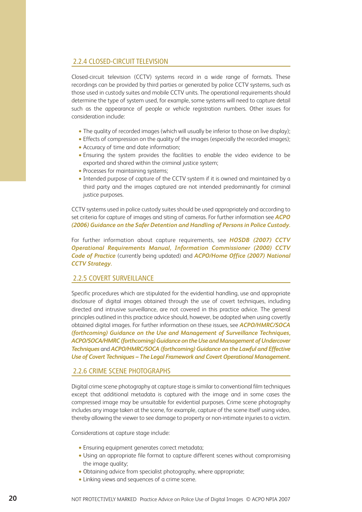#### <span id="page-22-1"></span><span id="page-22-0"></span>2.2.4 CLOSED-CIRCUIT TELEVISION

Closed-circuit television (CCTV) systems record in a wide range of formats. These recordings can be provided by third parties or generated by police CCTV systems, such as those used in custody suites and mobile CCTV units. The operational requirements should determine the type of system used, for example, some systems will need to capture detail such as the appearance of people or vehicle registration numbers. Other issues for consideration include:

- The quality of recorded images (which will usually be inferior to those on live display);
- Effects of compression on the quality of the images (especially the recorded images);
- Accuracy of time and date information;
- Ensuring the system provides the facilities to enable the video evidence to be exported and shared within the criminal justice system;
- Processes for maintaining systems;
- Intended purpose of capture of the CCTV system if it is owned and maintained by a third party and the images captured are not intended predominantly for criminal justice purposes.

CCTV systems used in police custody suites should be used appropriately and according to set criteria for capture of images and siting of cameras. For further information see *ACPO (2006) Guidance on the Safer Detention and Handling of Persons in Police Custody.*

For further information about capture requirements, see *HOSDB (2007) CCTV Operational Requirements Manual, Information Commissioner (2000) CCTV Code of Practice* (currently being updated) and *ACPO/Home Office (2007) National CCTV Strategy.*

#### 2.2.5 COVERT SURVEILLANCE

Specific procedures which are stipulated for the evidential handling, use and appropriate disclosure of digital images obtained through the use of covert techniques, including directed and intrusive surveillance, are not covered in this practice advice. The general principles outlined in this practice advice should, however, be adopted when using covertly obtained digital images. For further information on these issues, see *ACPO/HMRC/SOCA (forthcoming) Guidance on the Use and Management of Surveillance Techniques, ACPO/SOCA/HMRC (forthcoming) Guidance on the Use and Management of Undercover Techniques* and *ACPO/HMRC/SOCA (forthcoming) Guidance on the Lawful and Effective Use of Covert Techniques – The Legal Framework and Covert Operational Management.*

#### 2.2.6 CRIME SCENE PHOTOGRAPHS

Digital crime scene photography at capture stage is similar to conventional film techniques except that additional metadata is captured with the image and in some cases the compressed image may be unsuitable for evidential purposes. Crime scene photography includes any image taken at the scene, for example, capture of the scene itself using video, thereby allowing the viewer to see damage to property or non-intimate injuries to a victim.

Considerations at capture stage include:

- Ensuring equipment generates correct metadata;
- Using an appropriate file format to capture different scenes without compromising the image quality;
- Obtaining advice from specialist photography, where appropriate;
- Linking views and sequences of a crime scene.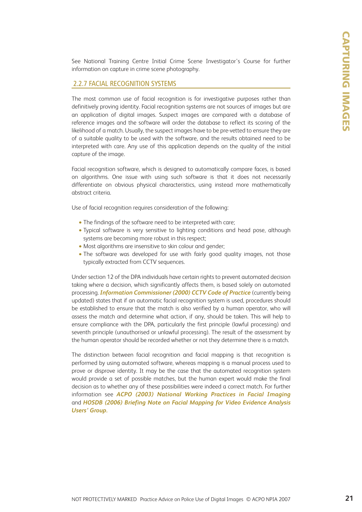<span id="page-23-1"></span><span id="page-23-0"></span>See National Training Centre Initial Crime Scene Investigator's Course for further information on capture in crime scene photography.

#### 2.2.7 FACIAL RECOGNITION SYSTEMS

The most common use of facial recognition is for investigative purposes rather than definitively proving identity. Facial recognition systems are not sources of images but are an application of digital images. Suspect images are compared with a database of reference images and the software will order the database to reflect its scoring of the likelihood of a match. Usually, the suspect images have to be pre-vetted to ensure they are of a suitable quality to be used with the software, and the results obtained need to be interpreted with care. Any use of this application depends on the quality of the initial capture of the image.

Facial recognition software, which is designed to automatically compare faces, is based on algorithms. One issue with using such software is that it does not necessarily differentiate on obvious physical characteristics, using instead more mathematically abstract criteria.

Use of facial recognition requires consideration of the following:

- The findings of the software need to be interpreted with care;
- Typical software is very sensitive to lighting conditions and head pose, although systems are becoming more robust in this respect;
- Most algorithms are insensitive to skin colour and gender;
- The software was developed for use with fairly good quality images, not those typically extracted from CCTV sequences.

Under section 12 of the DPA individuals have certain rights to prevent automated decision taking where a decision, which significantly affects them, is based solely on automated processing. *Information Commissioner (2000) CCTV Code of Practice* (currently being updated) states that if an automatic facial recognition system is used, procedures should be established to ensure that the match is also verified by a human operator, who will assess the match and determine what action, if any, should be taken. This will help to ensure compliance with the DPA, particularly the first principle (lawful processing) and seventh principle (unauthorised or unlawful processing). The result of the assessment by the human operator should be recorded whether or not they determine there is a match.

The distinction between facial recognition and facial mapping is that recognition is performed by using automated software, whereas mapping is a manual process used to prove or disprove identity. It may be the case that the automated recognition system would provide a set of possible matches, but the human expert would make the final decision as to whether any of these possibilities were indeed a correct match. For further information see *ACPO (2003) National Working Practices in Facial Imaging* and *HOSDB (2006) Briefing Note on Facial Mapping for Video Evidence Analysis Users' Group.*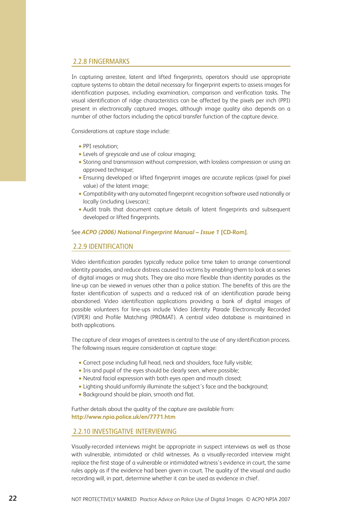#### <span id="page-24-1"></span><span id="page-24-0"></span>2.2.8 FINGERMARKS

In capturing arrestee, latent and lifted fingerprints, operators should use appropriate capture systems to obtain the detail necessary for fingerprint experts to assess images for identification purposes, including examination, comparison and verification tasks. The visual identification of ridge characteristics can be affected by the pixels per inch (PPI) present in electronically captured images, although image quality also depends on a number of other factors including the optical transfer function of the capture device.

Considerations at capture stage include:

- PPI resolution;
- Levels of greyscale and use of colour imaging;
- Storing and transmission without compression, with lossless compression or using an approved technique;
- Ensuring developed or lifted fingerprint images are accurate replicas (pixel for pixel value) of the latent image;
- Compatibility with any automated fingerprint recognition software used nationally or locally (including Livescan);
- Audit trails that document capture details of latent fingerprints and subsequent developed or lifted fingerprints.

#### See *ACPO (2006) National Fingerprint Manual – Issue 1* **[CD-Rom].**

#### 2.2.9 IDENTIFICATION

Video identification parades typically reduce police time taken to arrange conventional identity parades, and reduce distress caused to victims by enabling them to look at a series of digital images or mug shots. They are also more flexible than identity parades as the line-up can be viewed in venues other than a police station. The benefits of this are the faster identification of suspects and a reduced risk of an identification parade being abandoned. Video identification applications providing a bank of digital images of possible volunteers for line-ups include Video Identity Parade Electronically Recorded (VIPER) and Profile Matching (PROMAT). A central video database is maintained in both applications.

The capture of clear images of arrestees is central to the use of any identification process. The following issues require consideration at capture stage:

- Correct pose including full head, neck and shoulders, face fully visible;
- Iris and pupil of the eyes should be clearly seen, where possible;
- Neutral facial expression with both eyes open and mouth closed;
- Lighting should uniformly illuminate the subject's face and the background;
- Background should be plain, smooth and flat.

Further details about the quality of the capture are available from: **<http://www.npia.police.uk/en/7771.htm>**

#### 2.2.10 INVESTIGATIVE INTERVIEWING

Visually-recorded interviews might be appropriate in suspect interviews as well as those with vulnerable, intimidated or child witnesses. As a visually-recorded interview might replace the first stage of a vulnerable or intimidated witness's evidence in court, the same rules apply as if the evidence had been given in court. The quality of the visual and audio recording will, in part, determine whether it can be used as evidence in chief.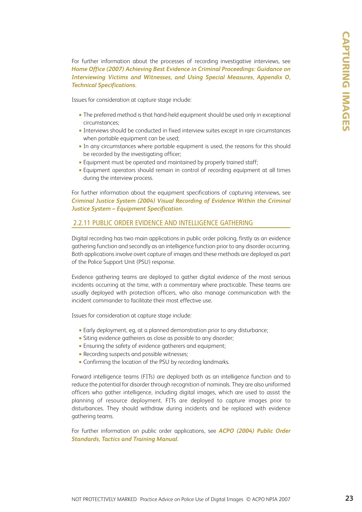<span id="page-25-1"></span><span id="page-25-0"></span>For further information about the processes of recording investigative interviews, see *Home Office (2007) Achieving Best Evidence in Criminal Proceedings: Guidance on Interviewing Victims and Witnesses, and Using Special Measures, Appendix O, Technical Specifications.*

Issues for consideration at capture stage include:

- The preferred method is that hand-held equipment should be used only in exceptional circumstances;
- Interviews should be conducted in fixed interview suites except in rare circumstances when portable equipment can be used;
- In any circumstances where portable equipment is used, the reasons for this should be recorded by the investigating officer;
- Equipment must be operated and maintained by properly trained staff;
- Equipment operators should remain in control of recording equipment at all times during the interview process.

For further information about the equipment specifications of capturing interviews, see *Criminal Justice System (2004) Visual Recording of Evidence Within the Criminal Justice System – Equipment Specification.*

#### 2.2.11 PUBLIC ORDER EVIDENCE AND INTELLIGENCE GATHERING

Digital recording has two main applications in public order policing, firstly as an evidence gathering function and secondly as an intelligence function prior to any disorder occurring. Both applications involve overt capture of images and these methods are deployed as part of the Police Support Unit (PSU) response.

Evidence gathering teams are deployed to gather digital evidence of the most serious incidents occurring at the time, with a commentary where practicable. These teams are usually deployed with protection officers, who also manage communication with the incident commander to facilitate their most effective use.

Issues for consideration at capture stage include:

- Early deployment, eg, at a planned demonstration prior to any disturbance;
- Siting evidence gatherers as close as possible to any disorder;
- Ensuring the safety of evidence gatherers and equipment;
- Recording suspects and possible witnesses;
- Confirming the location of the PSU by recording landmarks.

Forward intelligence teams (FITs) are deployed both as an intelligence function and to reduce the potential for disorder through recognition of nominals. They are also uniformed officers who gather intelligence, including digital images, which are used to assist the planning of resource deployment. FITs are deployed to capture images prior to disturbances. They should withdraw during incidents and be replaced with evidence gathering teams.

For further information on public order applications, see *ACPO (2004) Public Order Standards, Tactics and Training Manual.*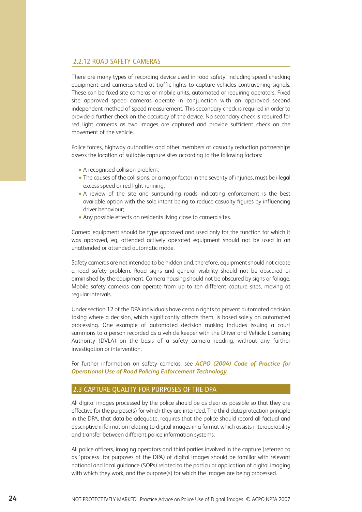#### <span id="page-26-1"></span><span id="page-26-0"></span>2.2.12 ROAD SAFETY CAMERAS

There are many types of recording device used in road safety, including speed checking equipment and cameras sited at traffic lights to capture vehicles contravening signals. These can be fixed site cameras or mobile units, automated or requiring operators. Fixed site approved speed cameras operate in conjunction with an approved second independent method of speed measurement. This secondary check is required in order to provide a further check on the accuracy of the device. No secondary check is required for red light cameras as two images are captured and provide sufficient check on the movement of the vehicle.

Police forces, highway authorities and other members of casualty reduction partnerships assess the location of suitable capture sites according to the following factors:

- A recognised collision problem;
- The causes of the collisions, or a major factor in the severity of injuries, must be illegal excess speed or red light running;
- A review of the site and surrounding roads indicating enforcement is the best available option with the sole intent being to reduce casualty figures by influencing driver behaviour;
- Any possible effects on residents living close to camera sites.

Camera equipment should be type approved and used only for the function for which it was approved, eg, attended actively operated equipment should not be used in an unattended or attended automatic mode.

Safety cameras are not intended to be hidden and, therefore, equipment should not create a road safety problem. Road signs and general visibility should not be obscured or diminished by the equipment. Camera housing should not be obscured by signs or foliage. Mobile safety cameras can operate from up to ten different capture sites, moving at regular intervals.

Under section 12 of the DPA individuals have certain rights to prevent automated decision taking where a decision, which significantly affects them, is based solely on automated processing. One example of automated decision making includes issuing a court summons to a person recorded as a vehicle keeper with the Driver and Vehicle Licensing Authority (DVLA) on the basis of a safety camera reading, without any further investigation or intervention.

For further information on safety cameras, see *ACPO (2004) Code of Practice for Operational Use of Road Policing Enforcement Technology.*

#### 2.3 CAPTURE QUALITY FOR PURPOSES OF THE DPA

All digital images processed by the police should be as clear as possible so that they are effective for the purpose(s) for which they are intended. The third data protection principle in the DPA, that data be adequate, requires that the police should record all factual and descriptive information relating to digital images in a format which assists interoperability and transfer between different police information systems.

All police officers, imaging operators and third parties involved in the capture (referred to as 'process' for purposes of the DPA) of digital images should be familiar with relevant national and local guidance (SOPs) related to the particular application of digital imaging with which they work, and the purpose(s) for which the images are being processed.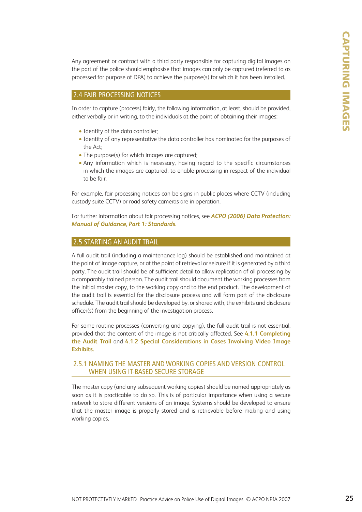<span id="page-27-2"></span><span id="page-27-1"></span><span id="page-27-0"></span>Any agreement or contract with a third party responsible for capturing digital images on the part of the police should emphasise that images can only be captured (referred to as processed for purpose of DPA) to achieve the purpose(s) for which it has been installed.

#### 2.4 FAIR PROCESSING NOTICES

In order to capture (process) fairly, the following information, at least, should be provided, either verbally or in writing, to the individuals at the point of obtaining their images:

- Identity of the data controller;
- Identity of any representative the data controller has nominated for the purposes of the Act;
- The purpose(s) for which images are captured;
- Any information which is necessary, having regard to the specific circumstances in which the images are captured, to enable processing in respect of the individual to be fair.

For example, fair processing notices can be signs in public places where CCTV (including custody suite CCTV) or road safety cameras are in operation.

For further information about fair processing notices, see *ACPO (2006) Data Protection: Manual of Guidance, Part 1: Standards.*

#### 2.5 STARTING AN AUDIT TRAIL

A full audit trail (including a maintenance log) should be established and maintained at the point of image capture, or at the point of retrieval or seizure if it is generated by a third party. The audit trail should be of sufficient detail to allow replication of all processing by a comparably trained person. The audit trail should document the working processes from the initial master copy, to the working copy and to the end product. The development of the audit trail is essential for the disclosure process and will form part of the disclosure schedule. The audit trail should be developed by, or shared with, the exhibits and disclosure officer(s) from the beginning of the investigation process.

For some routine processes (converting and copying), the full audit trail is not essential, provided that the content of the image is not critically affected. See **[4.1.1 Completing](#page-38-1) [the Audit Trail](#page-38-1)** and **[4.1.2 Special Considerations in Cases Involving Video Image](#page-40-1) [Exhibits.](#page-40-1)**

#### 2.5.1 NAMING THE MASTER AND WORKING COPIES AND VERSION CONTROL WHEN USING IT-BASED SECURE STORAGE

The master copy (and any subsequent working copies) should be named appropriately as soon as it is practicable to do so. This is of particular importance when using a secure network to store different versions of an image. Systems should be developed to ensure that the master image is properly stored and is retrievable before making and using working copies.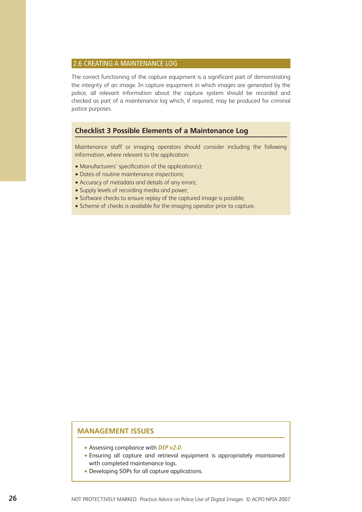#### <span id="page-28-1"></span><span id="page-28-0"></span>2.6 CREATING A MAINTENANCE LOG

The correct functioning of the capture equipment is a significant part of demonstrating the integrity of an image. In capture equipment in which images are generated by the police, all relevant information about the capture system should be recorded and checked as part of a maintenance log which, if required, may be produced for criminal justice purposes.

#### **Checklist 3 Possible Elements of a Maintenance Log**

Maintenance staff or imaging operators should consider including the following information, where relevant to the application:

- Manufacturers' specification of the application(s);
- Dates of routine maintenance inspections;
- Accuracy of metadata and details of any errors;
- Supply levels of recording media and power;
- Software checks to ensure replay of the captured image is possible;
- Scheme of checks is available for the imaging operator prior to capture.

#### **MANAGEMENT ISSUES**

- Assessing compliance with *DIP v2.0.*
- Ensuring all capture and retrieval equipment is appropriately maintained with completed maintenance logs.
- Developing SOPs for all capture applications.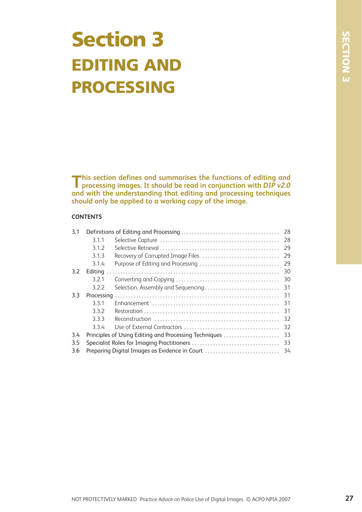## <span id="page-29-0"></span>**Section 3 EDITING AND PROCESSING**

**This section defines and summarises the functions of editing and processing images. It should be read in conjunction with** *DIP v2.0* **and with the understanding that editing and processing techniques should only be applied to a working copy of the image.**

#### **CONTENTS**

| 3.1           |            |                                                       | 28 |
|---------------|------------|-------------------------------------------------------|----|
|               | 3.1.1      |                                                       | 28 |
|               | 3.1.2      |                                                       | 29 |
|               | 3.1.3      | Recovery of Corrupted Image Files                     | 29 |
|               | 3.1.4      | Purpose of Editing and Processing                     | 29 |
| $3.2^{\circ}$ | Editing    |                                                       | 30 |
|               | 3.2.1      |                                                       | 30 |
|               | 3.2.2      | Selection, Assembly and Sequencing                    | 31 |
| 3.3           | Processing |                                                       | 31 |
|               | 3.3.1      |                                                       | 31 |
|               | 3.3.2      |                                                       | 31 |
|               | 3.3.3      |                                                       | 32 |
|               | 3.3.4      |                                                       | 32 |
| 3.4           |            | Principles of Using Editing and Processing Techniques | 33 |
| 3.5           |            |                                                       | 33 |
| 3.6           |            | Preparing Digital Images as Evidence in Court         | 34 |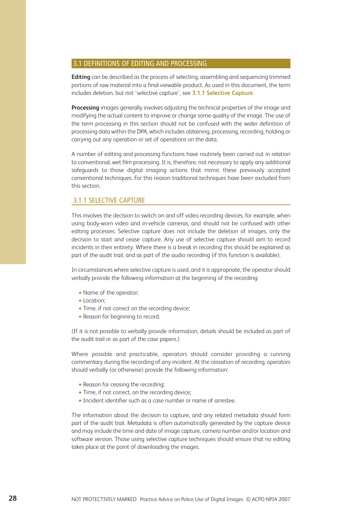#### <span id="page-30-1"></span><span id="page-30-0"></span>3.1 DEFINITIONS OF EDITING AND PROCESSING

**Editing** can be described as the process of selecting, assembling and sequencing trimmed portions of raw material into a final viewable product. As used in this document, the term includes deletion, but not 'selective capture', see **[3.1.1 Selective Capture.](#page-30-1)**

**Processing** images generally involves adjusting the technical properties of the image and modifying the actual content to improve or change some quality of the image. The use of the term processing in this section should not be confused with the wider definition of processing data within the DPA, which includes obtaining, processing, recording, holding or carrying out any operation or set of operations on the data.

A number of editing and processing functions have routinely been carried out in relation to conventional, wet film processing. It is, therefore, not necessary to apply any additional safeguards to those digital imaging actions that mimic these previously accepted conventional techniques. For this reason traditional techniques have been excluded from this section.

#### 3.1.1 SELECTIVE CAPTURE

This involves the decision to switch on and off video recording devices, for example, when using body-worn video and in-vehicle cameras, and should not be confused with other editing processes. Selective capture does not include the deletion of images, only the decision to start and cease capture. Any use of selective capture should aim to record incidents in their entirety. Where there is a break in recording this should be explained as part of the audit trail, and as part of the audio recording (if this function is available).

In circumstances where selective capture is used, and it is appropriate, the operator should verbally provide the following information at the beginning of the recording:

- Name of the operator;
- Location:
- Time, if not correct on the recording device;
- Reason for beginning to record.

(If it is not possible to verbally provide information, details should be included as part of the audit trail or as part of the case papers.)

Where possible and practicable, operators should consider providing a running commentary during the recording of any incident. At the cessation of recording, operators should verbally (or otherwise) provide the following information:

- Reason for ceasing the recording;
- Time, if not correct, on the recording device:
- Incident identifier such as a case number or name of arrestee.

The information about the decision to capture, and any related metadata should form part of the audit trail. Metadata is often automatically generated by the capture device and may include the time and date of image capture, camera number and/or location and software version. Those using selective capture techniques should ensure that no editing takes place at the point of downloading the images.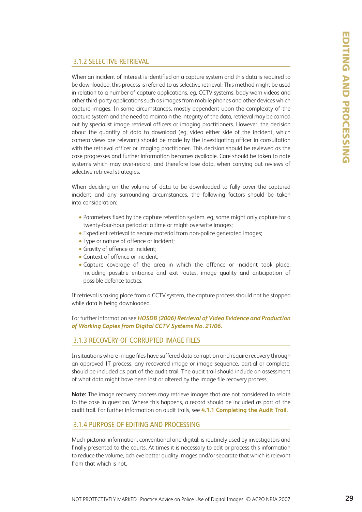#### <span id="page-31-1"></span><span id="page-31-0"></span>3.1.2 SELECTIVE RETRIEVAL

When an incident of interest is identified on a capture system and this data is required to be downloaded, this process is referred to as selective retrieval. This method might be used in relation to a number of capture applications, eg, CCTV systems, body-worn videos and other third-party applications such as images from mobile phones and other devices which capture images. In some circumstances, mostly dependent upon the complexity of the capture system and the need to maintain the integrity of the data, retrieval may be carried out by specialist image retrieval officers or imaging practitioners. However, the decision about the quantity of data to download (eg, video either side of the incident, which camera views are relevant) should be made by the investigating officer in consultation with the retrieval officer or imaging practitioner. This decision should be reviewed as the case progresses and further information becomes available. Care should be taken to note systems which may over-record, and therefore lose data, when carrying out reviews of selective retrieval strategies.

When deciding on the volume of data to be downloaded to fully cover the captured incident and any surrounding circumstances, the following factors should be taken into consideration:

- Parameters fixed by the capture retention system, eg, some might only capture for a twenty-four-hour period at a time or might overwrite images;
- Expedient retrieval to secure material from non-police generated images;
- Type or nature of offence or incident;
- Gravity of offence or incident;
- Context of offence or incident;
- Capture coverage of the area in which the offence or incident took place, including possible entrance and exit routes, image quality and anticipation of possible defence tactics.

If retrieval is taking place from a CCTV system, the capture process should not be stopped while data is being downloaded.

For further information see *HOSDB (2006) Retrieval of Video Evidence and Production of Working Copies from Digital CCTV Systems No. 21/06.* 

#### 3.1.3 RECOVERY OF CORRUPTED IMAGE FILES

In situations where image files have suffered data corruption and require recovery through an approved IT process, any recovered image or image sequence, partial or complete, should be included as part of the audit trail. The audit trail should include an assessment of what data might have been lost or altered by the image file recovery process.

**Note:** The image recovery process may retrieve images that are not considered to relate to the case in question. Where this happens, a record should be included as part of the audit trail. For further information on audit trails, see **[4.1.1 Completing the Audit Trail.](#page-38-1)**

#### 3.1.4 PURPOSE OF EDITING AND PROCESSING

Much pictorial information, conventional and digital, is routinely used by investigators and finally presented to the courts. At times it is necessary to edit or process this information to reduce the volume, achieve better quality images and/or separate that which is relevant from that which is not.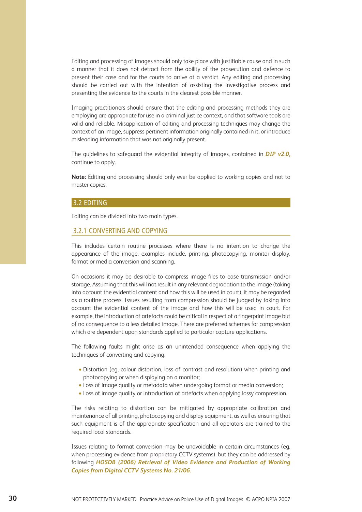<span id="page-32-0"></span>Editing and processing of images should only take place with justifiable cause and in such a manner that it does not detract from the ability of the prosecution and defence to present their case and for the courts to arrive at a verdict. Any editing and processing should be carried out with the intention of assisting the investigative process and presenting the evidence to the courts in the clearest possible manner.

Imaging practitioners should ensure that the editing and processing methods they are employing are appropriate for use in a criminal justice context, and that software tools are valid and reliable. Misapplication of editing and processing techniques may change the context of an image, suppress pertinent information originally contained in it, or introduce misleading information that was not originally present.

The guidelines to safeguard the evidential integrity of images, contained in *DIP v2.0,* continue to apply.

**Note:** Editing and processing should only ever be applied to working copies and not to master copies.

#### 3.2 EDITING

Editing can be divided into two main types.

#### 3.2.1 CONVERTING AND COPYING

This includes certain routine processes where there is no intention to change the appearance of the image, examples include, printing, photocopying, monitor display, format or media conversion and scanning.

On occasions it may be desirable to compress image files to ease transmission and/or storage. Assuming that this will not result in any relevant degradation to the image (taking into account the evidential content and how this will be used in court), it may be regarded as a routine process. Issues resulting from compression should be judged by taking into account the evidential content of the image and how this will be used in court. For example, the introduction of artefacts could be critical in respect of a fingerprint image but of no consequence to a less detailed image. There are preferred schemes for compression which are dependent upon standards applied to particular capture applications.

The following faults might arise as an unintended consequence when applying the techniques of converting and copying:

- Distortion (eg, colour distortion, loss of contrast and resolution) when printing and photocopying or when displaying on a monitor;
- Loss of image quality or metadata when undergoing format or media conversion;
- Loss of image quality or introduction of artefacts when applying lossy compression.

The risks relating to distortion can be mitigated by appropriate calibration and maintenance of all printing, photocopying and display equipment, as well as ensuring that such equipment is of the appropriate specification and all operators are trained to the required local standards.

Issues relating to format conversion may be unavoidable in certain circumstances (eg, when processing evidence from proprietary CCTV systems), but they can be addressed by following *HOSDB (2006) Retrieval of Video Evidence and Production of Working Copies from Digital CCTV Systems No. 21/06.*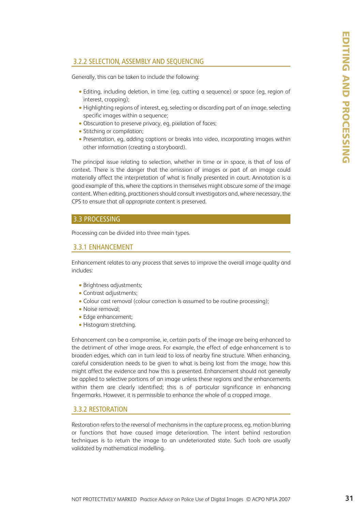#### <span id="page-33-0"></span>3.2.2 SELECTION, ASSEMBLY AND SEQUENCING

Generally, this can be taken to include the following:

- Editing, including deletion, in time (eg, cutting a sequence) or space (eg, region of interest, cropping);
- Highlighting regions of interest, eg, selecting or discarding part of an image, selecting specific images within a sequence;
- Obscuration to preserve privacy, eg, pixilation of faces;
- Stitching or compilation;
- Presentation, eg, adding captions or breaks into video, incorporating images within other information (creating a storyboard).

The principal issue relating to selection, whether in time or in space, is that of loss of context. There is the danger that the omission of images or part of an image could materially affect the interpretation of what is finally presented in court. Annotation is a good example of this, where the captions in themselves might obscure some of the image content. When editing, practitioners should consult investigators and, where necessary, the CPS to ensure that all appropriate content is preserved.

#### 3.3 PROCESSING

Processing can be divided into three main types.

#### 3.3.1 ENHANCEMENT

Enhancement relates to any process that serves to improve the overall image quality and includes:

- Brightness adjustments;
- Contrast adjustments;
- Colour cast removal (colour correction is assumed to be routine processing);
- Noise removal;
- Edge enhancement;
- Histogram stretching.

Enhancement can be a compromise, ie, certain parts of the image are being enhanced to the detriment of other image areas. For example, the effect of edge enhancement is to broaden edges, which can in turn lead to loss of nearby fine structure. When enhancing, careful consideration needs to be given to what is being lost from the image, how this might affect the evidence and how this is presented. Enhancement should not generally be applied to selective portions of an image unless these regions and the enhancements within them are clearly identified; this is of particular significance in enhancing fingermarks. However, it is permissible to enhance the whole of a cropped image.

#### 3.3.2 RESTORATION

Restoration refers to the reversal of mechanisms in the capture process, eg, motion blurring or functions that have caused image deterioration. The intent behind restoration techniques is to return the image to an undeteriorated state. Such tools are usually validated by mathematical modelling.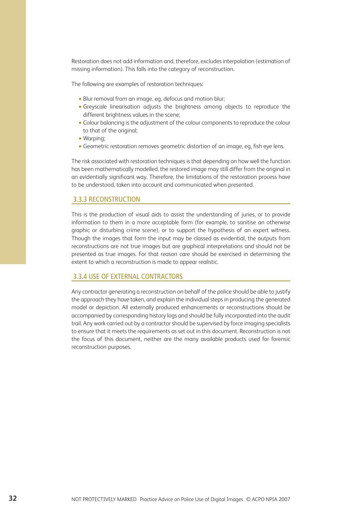<span id="page-34-0"></span>Restoration does not add information and, therefore, excludes interpolation (estimation of missing information). This falls into the category of reconstruction.

The following are examples of restoration techniques:

- Blur removal from an image, eg, defocus and motion blur;
- Greyscale linearisation adjusts the brightness among objects to reproduce the different brightness values in the scene;
- Colour balancing is the adjustment of the colour components to reproduce the colour to that of the original;
- Warping;
- Geometric restoration removes geometric distortion of an image, eg, fish eye lens.

The risk associated with restoration techniques is that depending on how well the function has been mathematically modelled, the restored image may still differ from the original in an evidentially significant way. Therefore, the limitations of the restoration process have to be understood, taken into account and communicated when presented.

#### 3.3.3 RECONSTRUCTION

This is the production of visual aids to assist the understanding of juries, or to provide information to them in a more acceptable form (for example, to sanitise an otherwise graphic or disturbing crime scene), or to support the hypothesis of an expert witness. Though the images that form the input may be classed as evidential, the outputs from reconstructions are not true images but are graphical interpretations and should not be presented as true images. For that reason care should be exercised in determining the extent to which a reconstruction is made to appear realistic.

#### 3.3.4 USE OF EXTERNAL CONTRACTORS

Any contractor generating a reconstruction on behalf of the police should be able to justify the approach they have taken, and explain the individual steps in producing the generated model or depiction. All externally produced enhancements or reconstructions should be accompanied by corresponding history logs and should be fully incorporated into the audit trail. Any work carried out by a contractor should be supervised by force imaging specialists to ensure that it meets the requirements as set out in this document. Reconstruction is not the focus of this document, neither are the many available products used for forensic reconstruction purposes.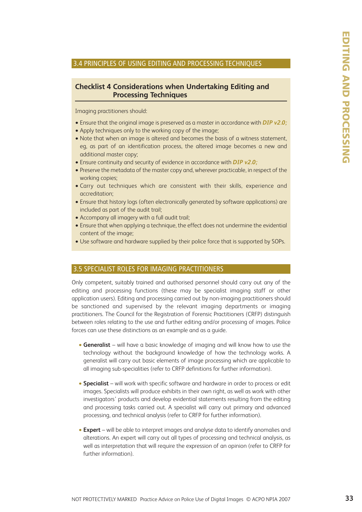#### <span id="page-35-0"></span>3.4 PRINCIPLES OF USING EDITING AND PROCESSING TECHNIQUES

#### **Checklist 4 Considerations when Undertaking Editing and Processing Techniques**

Imaging practitioners should:

- Ensure that the original image is preserved as a master in accordance with *DIP v2.0;*
- Apply techniques only to the working copy of the image;
- Note that when an image is altered and becomes the basis of a witness statement, eg, as part of an identification process, the altered image becomes a new and additional master copy;
- Ensure continuity and security of evidence in accordance with *DIP v2.0;*
- Preserve the metadata of the master copy and, wherever practicable, in respect of the working copies;
- Carry out techniques which are consistent with their skills, experience and accreditation;
- Ensure that history logs (often electronically generated by software applications) are included as part of the audit trail;
- Accompany all imagery with a full audit trail;
- Ensure that when applying a technique, the effect does not undermine the evidential content of the image;
- Use software and hardware supplied by their police force that is supported by SOPs.

#### 3.5 SPECIALIST ROLES FOR IMAGING PRACTITIONERS

Only competent, suitably trained and authorised personnel should carry out any of the editing and processing functions (these may be specialist imaging staff or other application users). Editing and processing carried out by non-imaging practitioners should be sanctioned and supervised by the relevant imaging departments or imaging practitioners. The Council for the Registration of Forensic Practitioners (CRFP) distinguish between roles relating to the use and further editing and/or processing of images. Police forces can use these distinctions as an example and as a guide.

- **Generalist** will have a basic knowledge of imaging and will know how to use the technology without the background knowledge of how the technology works. A generalist will carry out basic elements of image processing which are applicable to all imaging sub-specialities (refer to CRFP definitions for further information).
- **Specialist** will work with specific software and hardware in order to process or edit images. Specialists will produce exhibits in their own right, as well as work with other investigators' products and develop evidential statements resulting from the editing and processing tasks carried out. A specialist will carry out primary and advanced processing, and technical analysis (refer to CRFP for further information).
- **Expert** will be able to interpret images and analyse data to identify anomalies and alterations. An expert will carry out all types of processing and technical analysis, as well as interpretation that will require the expression of an opinion (refer to CRFP for further information).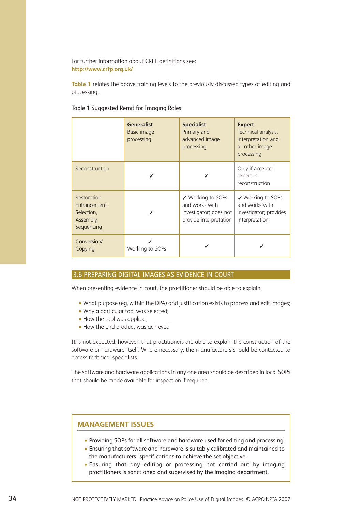<span id="page-36-0"></span>For further information about CRFP definitions see: **<http://www.crfp.org.uk/>**

**Table 1** relates the above training levels to the previously discussed types of editing and processing.

#### Table 1 Suggested Remit for Imaging Roles

|                                                                     | <b>Generalist</b><br>Basic image<br>processing | <b>Specialist</b><br>Primary and<br>advanced image<br>processing                        | <b>Expert</b><br>Technical analysis,<br>interpretation and<br>all other image<br>processing |
|---------------------------------------------------------------------|------------------------------------------------|-----------------------------------------------------------------------------------------|---------------------------------------------------------------------------------------------|
| Reconstruction                                                      | x                                              | X                                                                                       | Only if accepted<br>expert in<br>reconstruction                                             |
| Restoration<br>Enhancement<br>Selection,<br>Assembly,<br>Sequencing | Х                                              | ✔ Working to SOPs<br>and works with<br>investigator; does not<br>provide interpretation | ✔ Working to SOPs<br>and works with<br>investigator; provides<br>interpretation             |
| Conversion/<br>Copying                                              | Working to SOPs                                |                                                                                         |                                                                                             |

#### 3.6 PREPARING DIGITAL IMAGES AS EVIDENCE IN COURT

When presenting evidence in court, the practitioner should be able to explain:

- What purpose (eg, within the DPA) and justification exists to process and edit images;
- Why a particular tool was selected;
- How the tool was applied;
- How the end product was achieved.

It is not expected, however, that practitioners are able to explain the construction of the software or hardware itself. Where necessary, the manufacturers should be contacted to access technical specialists.

The software and hardware applications in any one area should be described in local SOPs that should be made available for inspection if required.

#### **MANAGEMENT ISSUES**

- Providing SOPs for all software and hardware used for editing and processing.
- Ensuring that software and hardware is suitably calibrated and maintained to the manufacturers' specifications to achieve the set objective.
- Ensuring that any editing or processing not carried out by imaging practitioners is sanctioned and supervised by the imaging department.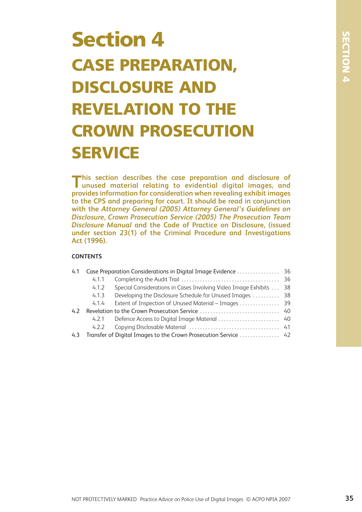### <span id="page-37-0"></span>**Section 4 CASE PREPARATION, DISCLOSURE AND REVELATION TO THE CROWN PROSECUTION SERVICE**

**This section describes the case preparation and disclosure of unused material relating to evidential digital images, and provides information for consideration when revealing exhibit images to the CPS and preparing for court. It should be read in conjunction with the** *Attorney General (2005) Attorney General's Guidelines on Disclosure, Crown Prosecution Service (2005) The Prosecution Team Disclosure Manual* **and the Code of Practice on Disclosure, (issued under section 23(1) of the Criminal Procedure and Investigations Act (1996).**

#### **CONTENTS**

| 4.1 |       |                                                                |     |
|-----|-------|----------------------------------------------------------------|-----|
|     | 4.1.1 |                                                                |     |
|     | 4.1.2 | Special Considerations in Cases Involving Video Image Exhibits | -38 |
|     | 4.1.3 | Developing the Disclosure Schedule for Unused Images  38       |     |
|     | 4.1.4 | Extent of Inspection of Unused Material – Images 39            |     |
| 4.2 |       |                                                                |     |
|     | 4.2.1 |                                                                |     |
|     | 4.2.2 |                                                                |     |
| 4.3 |       |                                                                |     |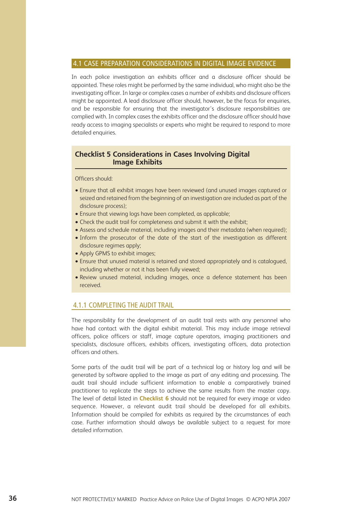#### <span id="page-38-1"></span><span id="page-38-0"></span>4.1 CASE PREPARATION CONSIDERATIONS IN DIGITAL IMAGE EVIDENCE

In each police investigation an exhibits officer and a disclosure officer should be appointed. These roles might be performed by the same individual, who might also be the investigating officer. In large or complex cases a number of exhibits and disclosure officers might be appointed. A lead disclosure officer should, however, be the focus for enquiries, and be responsible for ensuring that the investigator's disclosure responsibilities are complied with. In complex cases the exhibits officer and the disclosure officer should have ready access to imaging specialists or experts who might be required to respond to more detailed enquiries.

#### **Checklist 5 Considerations in Cases Involving Digital Image Exhibits**

Officers should:

- Ensure that all exhibit images have been reviewed (and unused images captured or seized and retained from the beginning of an investigation are included as part of the disclosure process);
- Ensure that viewing logs have been completed, as applicable;
- Check the audit trail for completeness and submit it with the exhibit;
- Assess and schedule material, including images and their metadata (when required);
- Inform the prosecutor of the date of the start of the investigation as different disclosure regimes apply;
- Apply GPMS to exhibit images;
- Ensure that unused material is retained and stored appropriately and is catalogued, including whether or not it has been fully viewed;
- Review unused material, including images, once a defence statement has been received.

#### 4.1.1 COMPLETING THE AUDIT TRAIL

The responsibility for the development of an audit trail rests with any personnel who have had contact with the digital exhibit material. This may include image retrieval officers, police officers or staff, image capture operators, imaging practitioners and specialists, disclosure officers, exhibits officers, investigating officers, data protection officers and others.

Some parts of the audit trail will be part of a technical log or history log and will be generated by software applied to the image as part of any editing and processing. The audit trail should include sufficient information to enable a comparatively trained practitioner to replicate the steps to achieve the same results from the master copy. The level of detail listed in **[Checklist 6](#page-39-1)** should not be required for every image or video sequence. However, a relevant audit trail should be developed for all exhibits. Information should be compiled for exhibits as required by the circumstances of each case. Further information should always be available subject to a request for more detailed information.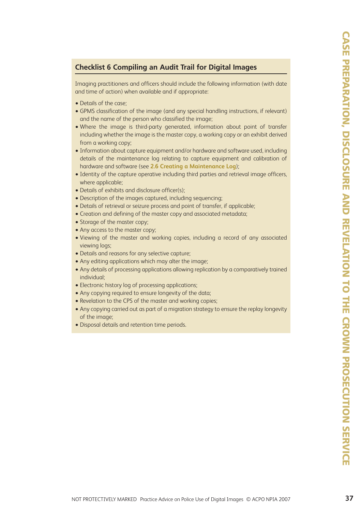#### <span id="page-39-1"></span><span id="page-39-0"></span>**Checklist 6 Compiling an Audit Trail for Digital Images**

Imaging practitioners and officers should include the following information (with date and time of action) when available and if appropriate:

- Details of the case;
- GPMS classification of the image (and any special handling instructions, if relevant) and the name of the person who classified the image;
- Where the image is third-party generated, information about point of transfer including whether the image is the master copy, a working copy or an exhibit derived from a working copy;
- Information about capture equipment and/or hardware and software used, including details of the maintenance log relating to capture equipment and calibration of hardware and software (see **[2.6 Creating a Maintenance Log](#page-28-1)**);
- Identity of the capture operative including third parties and retrieval image officers, where applicable;
- Details of exhibits and disclosure officer(s);
- Description of the images captured, including sequencing;
- Details of retrieval or seizure process and point of transfer, if applicable;
- Creation and defining of the master copy and associated metadata;
- Storage of the master copy;
- Any access to the master copy;
- Viewing of the master and working copies, including a record of any associated viewing logs;
- Details and reasons for any selective capture;
- Any editing applications which may alter the image;
- Any details of processing applications allowing replication by a comparatively trained individual;
- Electronic history log of processing applications;
- Any copying required to ensure longevity of the data;
- Revelation to the CPS of the master and working copies;
- Any copying carried out as part of a migration strategy to ensure the replay longevity of the image;
- Disposal details and retention time periods.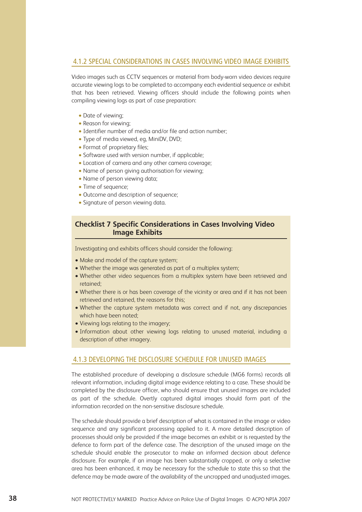#### <span id="page-40-1"></span><span id="page-40-0"></span>4.1.2 SPECIAL CONSIDERATIONS IN CASES INVOLVING VIDEO IMAGE EXHIBITS

Video images such as CCTV sequences or material from body-worn video devices require accurate viewing logs to be completed to accompany each evidential sequence or exhibit that has been retrieved. Viewing officers should include the following points when compiling viewing logs as part of case preparation:

- Date of viewing;
- Reason for viewing;
- Identifier number of media and/or file and action number;
- Type of media viewed, eg, MiniDV, DVD;
- Format of proprietary files;
- Software used with version number, if applicable;
- Location of camera and any other camera coverage;
- Name of person giving authorisation for viewing;
- Name of person viewing data;
- Time of sequence;
- Outcome and description of sequence:
- Signature of person viewing data.

#### **Checklist 7 Specific Considerations in Cases Involving Video Image Exhibits**

Investigating and exhibits officers should consider the following:

- Make and model of the capture system;
- Whether the image was generated as part of a multiplex system;
- Whether other video sequences from a multiplex system have been retrieved and retained;
- Whether there is or has been coverage of the vicinity or area and if it has not been retrieved and retained, the reasons for this;
- Whether the capture system metadata was correct and if not, any discrepancies which have been noted;
- Viewing logs relating to the imagery;
- Information about other viewing logs relating to unused material, including a description of other imagery.

#### 4.1.3 DEVELOPING THE DISCLOSURE SCHEDULE FOR UNUSED IMAGES

The established procedure of developing a disclosure schedule (MG6 forms) records all relevant information, including digital image evidence relating to a case. These should be completed by the disclosure officer, who should ensure that unused images are included as part of the schedule. Overtly captured digital images should form part of the information recorded on the non-sensitive disclosure schedule.

The schedule should provide a brief description of what is contained in the image or video sequence and any significant processing applied to it. A more detailed description of processes should only be provided if the image becomes an exhibit or is requested by the defence to form part of the defence case. The description of the unused image on the schedule should enable the prosecutor to make an informed decision about defence disclosure. For example, if an image has been substantially cropped, or only a selective area has been enhanced, it may be necessary for the schedule to state this so that the defence may be made aware of the availability of the uncropped and unadjusted images.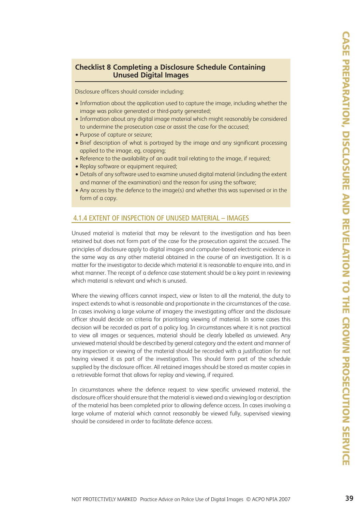#### <span id="page-41-1"></span><span id="page-41-0"></span>**Checklist 8 Completing a Disclosure Schedule Containing Unused Digital Images**

Disclosure officers should consider including:

- Information about the application used to capture the image, including whether the image was police generated or third-party generated;
- Information about any digital image material which might reasonably be considered to undermine the prosecution case or assist the case for the accused;
- Purpose of capture or seizure;
- Brief description of what is portrayed by the image and any significant processing applied to the image, eg, cropping;
- Reference to the availability of an audit trail relating to the image, if required;
- Replay software or equipment required;
- Details of any software used to examine unused digital material (including the extent and manner of the examination) and the reason for using the software;
- Any access by the defence to the image(s) and whether this was supervised or in the form of a copy.

#### 4.1.4 EXTENT OF INSPECTION OF UNUSED MATERIAL – IMAGES

Unused material is material that may be relevant to the investigation and has been retained but does not form part of the case for the prosecution against the accused. The principles of disclosure apply to digital images and computer-based electronic evidence in the same way as any other material obtained in the course of an investigation. It is a matter for the investigator to decide which material it is reasonable to enquire into, and in what manner. The receipt of a defence case statement should be a key point in reviewing which material is relevant and which is unused.

Where the viewing officers cannot inspect, view or listen to all the material, the duty to inspect extends to what is reasonable and proportionate in the circumstances of the case. In cases involving a large volume of imagery the investigating officer and the disclosure officer should decide on criteria for prioritising viewing of material. In some cases this decision will be recorded as part of a policy log. In circumstances where it is not practical to view all images or sequences, material should be clearly labelled as unviewed. Any unviewed material should be described by general category and the extent and manner of any inspection or viewing of the material should be recorded with a justification for not having viewed it as part of the investigation. This should form part of the schedule supplied by the disclosure officer. All retained images should be stored as master copies in a retrievable format that allows for replay and viewing, if required.

In circumstances where the defence request to view specific unviewed material, the disclosure officer should ensure that the material is viewed and a viewing log or description of the material has been completed prior to allowing defence access. In cases involving a large volume of material which cannot reasonably be viewed fully, supervised viewing should be considered in order to facilitate defence access.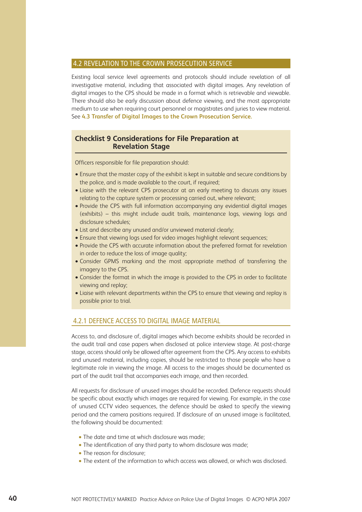#### <span id="page-42-0"></span>4.2 REVELATION TO THE CROWN PROSECUTION SERVICE

Existing local service level agreements and protocols should include revelation of all investigative material, including that associated with digital images. Any revelation of digital images to the CPS should be made in a format which is retrievable and viewable. There should also be early discussion about defence viewing, and the most appropriate medium to use when requiring court personnel or magistrates and juries to view material. See **[4.3 Transfer of Digital Images to the Crown Prosecution Service.](#page-44-1)**

#### **Checklist 9 Considerations for File Preparation at Revelation Stage**

Officers responsible for file preparation should:

- Ensure that the master copy of the exhibit is kept in suitable and secure conditions by the police, and is made available to the court, if required;
- Liaise with the relevant CPS prosecutor at an early meeting to discuss any issues relating to the capture system or processing carried out, where relevant;
- Provide the CPS with full information accompanying any evidential digital images (exhibits) – this might include audit trails, maintenance logs, viewing logs and disclosure schedules;
- List and describe any unused and/or unviewed material clearly;
- Ensure that viewing logs used for video images highlight relevant sequences;
- Provide the CPS with accurate information about the preferred format for revelation in order to reduce the loss of image quality;
- Consider GPMS marking and the most appropriate method of transferring the imagery to the CPS.
- Consider the format in which the image is provided to the CPS in order to facilitate viewing and replay;
- Liaise with relevant departments within the CPS to ensure that viewing and replay is possible prior to trial.

#### 4.2.1 DEFENCE ACCESS TO DIGITAL IMAGE MATERIAL

Access to, and disclosure of, digital images which become exhibits should be recorded in the audit trail and case papers when disclosed at police interview stage. At post-charge stage, access should only be allowed after agreement from the CPS. Any access to exhibits and unused material, including copies, should be restricted to those people who have a legitimate role in viewing the image. All access to the images should be documented as part of the audit trail that accompanies each image, and then recorded.

All requests for disclosure of unused images should be recorded. Defence requests should be specific about exactly which images are required for viewing. For example, in the case of unused CCTV video sequences, the defence should be asked to specify the viewing period and the camera positions required. If disclosure of an unused image is facilitated, the following should be documented:

- The date and time at which disclosure was made;
- The identification of any third party to whom disclosure was made;
- The reason for disclosure:
- The extent of the information to which access was allowed, or which was disclosed.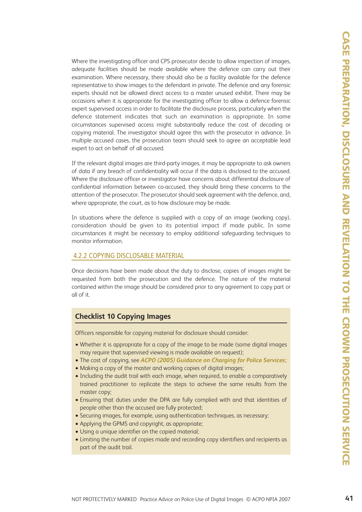<span id="page-43-0"></span>Where the investigating officer and CPS prosecutor decide to allow inspection of images, adequate facilities should be made available where the defence can carry out their examination. Where necessary, there should also be a facility available for the defence representative to show images to the defendant in private. The defence and any forensic experts should not be allowed direct access to a master unused exhibit. There may be occasions when it is appropriate for the investigating officer to allow a defence forensic expert supervised access in order to facilitate the disclosure process, particularly when the defence statement indicates that such an examination is appropriate. In some circumstances supervised access might substantially reduce the cost of decoding or copying material. The investigator should agree this with the prosecutor in advance. In multiple accused cases, the prosecution team should seek to agree an acceptable lead expert to act on behalf of all accused.

If the relevant digital images are third-party images, it may be appropriate to ask owners of data if any breach of confidentiality will occur if the data is disclosed to the accused. Where the disclosure officer or investigator have concerns about differential disclosure of confidential information between co-accused, they should bring these concerns to the attention of the prosecutor. The prosecutor should seek agreement with the defence, and, where appropriate, the court, as to how disclosure may be made.

In situations where the defence is supplied with a copy of an image (working copy), consideration should be given to its potential impact if made public. In some circumstances it might be necessary to employ additional safeguarding techniques to monitor information.

#### 4.2.2 COPYING DISCLOSABLE MATERIAL

Once decisions have been made about the duty to disclose, copies of images might be requested from both the prosecution and the defence. The nature of the material contained within the image should be considered prior to any agreement to copy part or all of it.

#### **Checklist 10 Copying Images**

Officers responsible for copying material for disclosure should consider:

- Whether it is appropriate for a copy of the image to be made (some digital images may require that supervised viewing is made available on request);
- The cost of copying, see *ACPO (2005) Guidance on Charging for Police Services;*
- Making a copy of the master and working copies of digital images;
- Including the audit trail with each image, when required, to enable a comparatively trained practitioner to replicate the steps to achieve the same results from the master copy;
- Ensuring that duties under the DPA are fully complied with and that identities of people other than the accused are fully protected;
- Securing images, for example, using authentication techniques, as necessary;
- Applying the GPMS and copyright, as appropriate;
- Using a unique identifier on the copied material;
- Limiting the number of copies made and recording copy identifiers and recipients as part of the audit trail.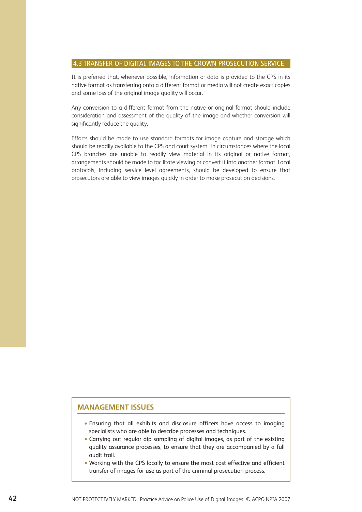#### <span id="page-44-1"></span><span id="page-44-0"></span>4.3 TRANSFER OF DIGITAL IMAGES TO THE CROWN PROSECUTION SERVICE

It is preferred that, whenever possible, information or data is provided to the CPS in its native format as transferring onto a different format or media will not create exact copies and some loss of the original image quality will occur.

Any conversion to a different format from the native or original format should include consideration and assessment of the quality of the image and whether conversion will significantly reduce the quality.

Efforts should be made to use standard formats for image capture and storage which should be readily available to the CPS and court system. In circumstances where the local CPS branches are unable to readily view material in its original or native format, arrangements should be made to facilitate viewing or convert it into another format. Local protocols, including service level agreements, should be developed to ensure that prosecutors are able to view images quickly in order to make prosecution decisions.

#### **MANAGEMENT ISSUES**

- Ensuring that all exhibits and disclosure officers have access to imaging specialists who are able to describe processes and techniques.
- Carrying out regular dip sampling of digital images, as part of the existing quality assurance processes, to ensure that they are accompanied by a full audit trail.
- Working with the CPS locally to ensure the most cost effective and efficient transfer of images for use as part of the criminal prosecution process.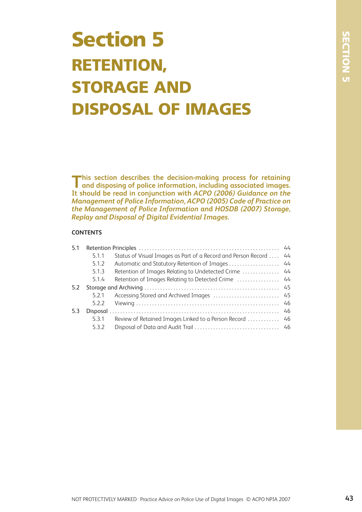## <span id="page-45-1"></span><span id="page-45-0"></span>**Section 5 RETENTION, STORAGE AND DISPOSAL OF IMAGES**

**This section describes the decision-making process for retaining and disposing of police information, including associated images. It should be read in conjunction with** *ACPO (2006) Guidance on the Management of Police Information, ACPO (2005) Code of Practice on the Management of Police Information* **and** *HOSDB (2007) Storage, Replay and Disposal of Digital Evidential Images.*

#### **CONTENTS**

| 5.1 |       |                                                                   |  |
|-----|-------|-------------------------------------------------------------------|--|
|     | 5.1.1 | Status of Visual Images as Part of a Record and Person Record  44 |  |
|     | 5.1.2 |                                                                   |  |
|     | 5.1.3 | Retention of Images Relating to Undetected Crime  44              |  |
|     | 5.1.4 | Retention of Images Relating to Detected Crime  44                |  |
| 5.2 |       |                                                                   |  |
|     | 5.2.1 |                                                                   |  |
|     | 5.2.2 |                                                                   |  |
| 5.3 |       |                                                                   |  |
|     | 5.3.1 | Review of Retained Images Linked to a Person Record  46           |  |
|     | 532   |                                                                   |  |
|     |       |                                                                   |  |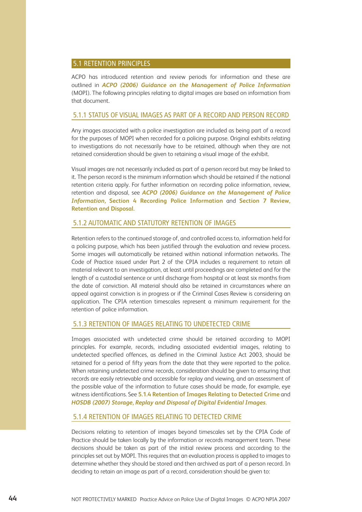#### <span id="page-46-1"></span><span id="page-46-0"></span>5.1 RETENTION PRINCIPLES

ACPO has introduced retention and review periods for information and these are outlined in *ACPO (2006) Guidance on the Management of Police Information* (MOPI). The following principles relating to digital images are based on information from that document.

#### 5.1.1 STATUS OF VISUAL IMAGES AS PART OF A RECORD AND PERSON RECORD

Any images associated with a police investigation are included as being part of a record for the purposes of MOPI when recorded for a policing purpose. Original exhibits relating to investigations do not necessarily have to be retained, although when they are not retained consideration should be given to retaining a visual image of the exhibit.

Visual images are not necessarily included as part of a person record but may be linked to it. The person record is the minimum information which should be retained if the national retention criteria apply. For further information on recording police information, review, retention and disposal, see *ACPO (2006) Guidance on the Management of Police Information,* **Section 4 Recording Police Information** and **Section 7 Review, Retention and Disposal.**

#### 5.1.2 AUTOMATIC AND STATUTORY RETENTION OF IMAGES

Retention refers to the continued storage of, and controlled access to, information held for a policing purpose, which has been justified through the evaluation and review process. Some images will automatically be retained within national information networks. The Code of Practice issued under Part 2 of the CPIA includes a requirement to retain all material relevant to an investigation, at least until proceedings are completed and for the length of a custodial sentence or until discharge from hospital or at least six months from the date of conviction. All material should also be retained in circumstances where an appeal against conviction is in progress or if the Criminal Cases Review is considering an application. The CPIA retention timescales represent a minimum requirement for the retention of police information.

#### 5.1.3 RETENTION OF IMAGES RELATING TO UNDETECTED CRIME

Images associated with undetected crime should be retained according to MOPI principles. For example, records, including associated evidential images, relating to undetected specified offences, as defined in the Criminal Justice Act 2003, should be retained for a period of fifty years from the date that they were reported to the police. When retaining undetected crime records, consideration should be given to ensuring that records are easily retrievable and accessible for replay and viewing, and an assessment of the possible value of the information to future cases should be made, for example, eye witness identifications. See **[5.1.4 Retention of Images Relating to Detected Crime](#page-46-1)** and *HOSDB (2007) Storage, Replay and Disposal of Digital Evidential Images.*

#### 5.1.4 RETENTION OF IMAGES RELATING TO DETECTED CRIME

Decisions relating to retention of images beyond timescales set by the CPIA Code of Practice should be taken locally by the information or records management team. These decisions should be taken as part of the initial review process and according to the principles set out by MOPI. This requires that an evaluation process is applied to images to determine whether they should be stored and then archived as part of a person record. In deciding to retain an image as part of a record, consideration should be given to: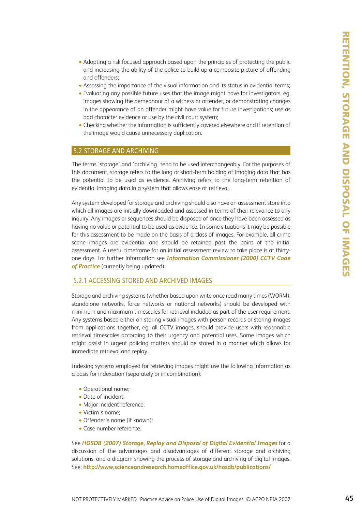- <span id="page-47-0"></span>• Adopting a risk focused approach based upon the principles of protecting the public and increasing the ability of the police to build up a composite picture of offending and offenders;
- Assessing the importance of the visual information and its status in evidential terms;
- Evaluating any possible future uses that the image might have for investigators, eg, images showing the demeanour of a witness or offender, or demonstrating changes in the appearance of an offender might have value for future investigations; use as bad character evidence or use by the civil court system;
- Checking whether the information is sufficiently covered elsewhere and if retention of the image would cause unnecessary duplication.

#### 5.2 STORAGE AND ARCHIVING

The terms 'storage' and 'archiving' tend to be used interchangeably. For the purposes of this document, storage refers to the long or short-term holding of imaging data that has the potential to be used as evidence. Archiving refers to the long-term retention of evidential imaging data in a system that allows ease of retrieval.

Any system developed for storage and archiving should also have an assessment store into which all images are initially downloaded and assessed in terms of their relevance to any inquiry. Any images or sequences should be disposed of once they have been assessed as having no value or potential to be used as evidence. In some situations it may be possible for this assessment to be made on the basis of a class of images. For example, all crime scene images are evidential and should be retained past the point of the initial assessment. A useful timeframe for an initial assessment review to take place is at thirtyone days. For further information see *Information Commissioner (2000) CCTV Code of Practice* (currently being updated).

#### 5.2.1 ACCESSING STORED AND ARCHIVED IMAGES

Storage and archiving systems (whether based upon write once read many times (WORM), standalone networks, force networks or national networks) should be developed with minimum and maximum timescales for retrieval included as part of the user requirement. Any systems based either on storing visual images with person records or storing images from applications together, eg, all CCTV images, should provide users with reasonable retrieval timescales according to their urgency and potential uses. Some images which might assist in urgent policing matters should be stored in a manner which allows for immediate retrieval and replay.

Indexing systems employed for retrieving images might use the following information as a basis for indexation (separately or in combination):

- Operational name;
- Date of incident;
- Major incident reference;
- Victim's name;
- Offender's name (if known):
- Case number reference.

See *HOSDB (2007) Storage, Replay and Disposal of Digital Evidential Images* for a discussion of the advantages and disadvantages of different storage and archiving solutions, and a diagram showing the process of storage and archiving of digital images. See: **<http://www.scienceandresearch.homeoffice.gov.uk/hosdb/publications/>**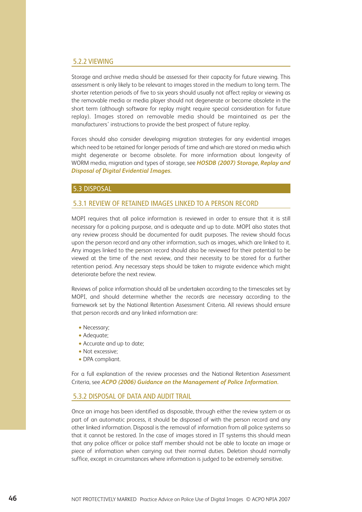#### <span id="page-48-0"></span>5.2.2 VIEWING

Storage and archive media should be assessed for their capacity for future viewing. This assessment is only likely to be relevant to images stored in the medium to long term. The shorter retention periods of five to six years should usually not affect replay or viewing as the removable media or media player should not degenerate or become obsolete in the short term (although software for replay might require special consideration for future replay). Images stored on removable media should be maintained as per the manufacturers' instructions to provide the best prospect of future replay.

Forces should also consider developing migration strategies for any evidential images which need to be retained for longer periods of time and which are stored on media which might degenerate or become obsolete. For more information about longevity of WORM media, migration and types of storage, see *HOSDB (2007) Storage, Replay and Disposal of Digital Evidential Images.*

#### 5.3 DISPOSAL

#### 5.3.1 REVIEW OF RETAINED IMAGES LINKED TO A PERSON RECORD

MOPI requires that all police information is reviewed in order to ensure that it is still necessary for a policing purpose, and is adequate and up to date. MOPI also states that any review process should be documented for audit purposes. The review should focus upon the person record and any other information, such as images, which are linked to it. Any images linked to the person record should also be reviewed for their potential to be viewed at the time of the next review, and their necessity to be stored for a further retention period. Any necessary steps should be taken to migrate evidence which might deteriorate before the next review.

Reviews of police information should all be undertaken according to the timescales set by MOPI, and should determine whether the records are necessary according to the framework set by the National Retention Assessment Criteria. All reviews should ensure that person records and any linked information are:

- Necessary:
- Adequate;
- Accurate and up to date;
- Not excessive:
- DPA compliant.

For a full explanation of the review processes and the National Retention Assessment Criteria, see *ACPO (2006) Guidance on the Management of Police Information.* 

#### 5.3.2 DISPOSAL OF DATA AND AUDIT TRAIL

Once an image has been identified as disposable, through either the review system or as part of an automatic process, it should be disposed of with the person record and any other linked information. Disposal is the removal of information from all police systems so that it cannot be restored. In the case of images stored in IT systems this should mean that any police officer or police staff member should not be able to locate an image or piece of information when carrying out their normal duties. Deletion should normally suffice, except in circumstances where information is judged to be extremely sensitive.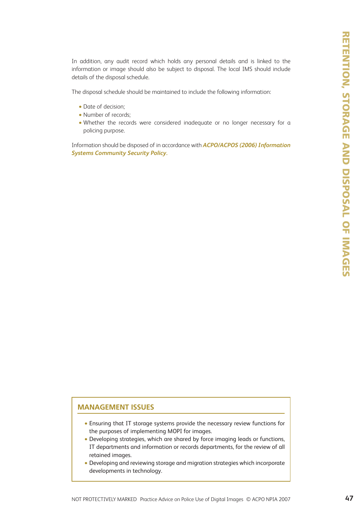In addition, any audit record which holds any personal details and is linked to the information or image should also be subject to disposal. The local IMS should include details of the disposal schedule.

The disposal schedule should be maintained to include the following information:

- Date of decision;
- Number of records;
- Whether the records were considered inadequate or no longer necessary for a policing purpose.

Information should be disposed of in accordance with *ACPO/ACPOS (2006) Information Systems Community Security Policy.*

#### **MANAGEMENT ISSUES**

- Ensuring that IT storage systems provide the necessary review functions for the purposes of implementing MOPI for images.
- Developing strategies, which are shared by force imaging leads or functions, IT departments and information or records departments, for the review of all retained images.
- Developing and reviewing storage and migration strategies which incorporate developments in technology.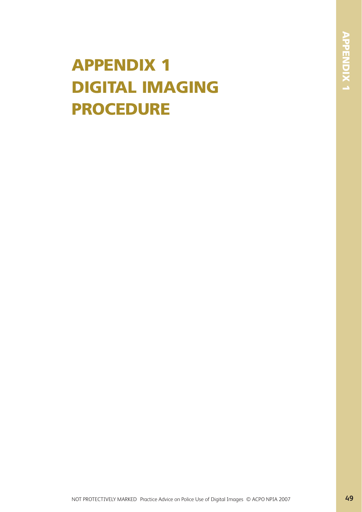### <span id="page-51-0"></span>**APPENDIX 1 DIGITAL IMAGING PROCEDURE**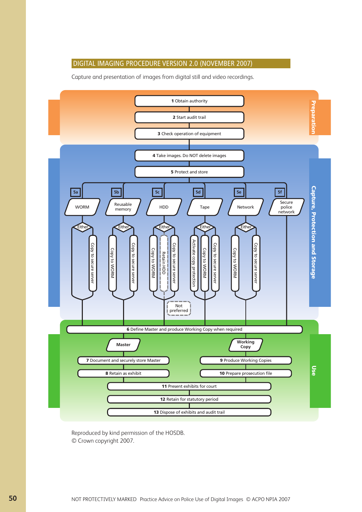#### DIGITAL IMAGING PROCEDURE VERSION 2.0 (NOVEMBER 2007)

Capture and presentation of images from digital still and video recordings.



Reproduced by kind permission of the HOSDB. © Crown copyright 2007.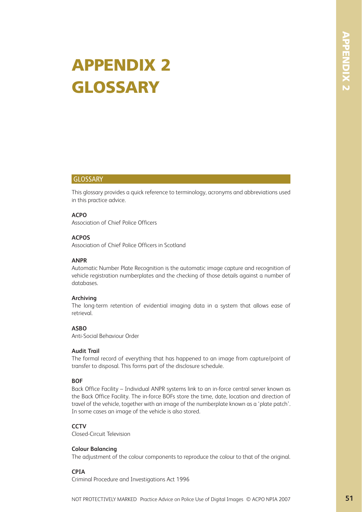### <span id="page-53-0"></span>**APPENDIX 2 GLOSSARY**

#### GLOSSARY

This glossary provides a quick reference to terminology, acronyms and abbreviations used in this practice advice.

#### **ACPO**

Association of Chief Police Officers

#### **ACPOS**

Association of Chief Police Officers in Scotland

#### **ANPR**

Automatic Number Plate Recognition is the automatic image capture and recognition of vehicle registration numberplates and the checking of those details against a number of databases.

#### **Archiving**

The long-term retention of evidential imaging data in a system that allows ease of retrieval.

#### **ASBO**

Anti-Social Behaviour Order

#### **Audit Trail**

The formal record of everything that has happened to an image from capture/point of transfer to disposal. This forms part of the disclosure schedule.

#### **BOF**

Back Office Facility – Individual ANPR systems link to an in-force central server known as the Back Office Facility. The in-force BOFs store the time, date, location and direction of travel of the vehicle, together with an image of the numberplate known as a 'plate patch'. In some cases an image of the vehicle is also stored.

#### **CCTV**

Closed-Circuit Television

#### **Colour Balancing**

The adjustment of the colour components to reproduce the colour to that of the original.

#### **CPIA**

Criminal Procedure and Investigations Act 1996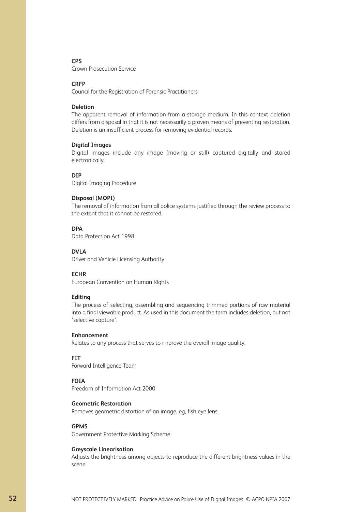#### **CPS**

Crown Prosecution Service

#### **CRFP**

Council for the Registration of Forensic Practitioners

#### **Deletion**

The apparent removal of information from a storage medium. In this context deletion differs from disposal in that it is not necessarily a proven means of preventing restoration. Deletion is an insufficient process for removing evidential records.

#### **Digital Images**

Digital images include any image (moving or still) captured digitally and stored electronically.

#### **DIP**

Digital Imaging Procedure

#### **Disposal (MOPI)**

The removal of information from all police systems justified through the review process to the extent that it cannot be restored.

#### **DPA**

Data Protection Act 1998

#### **DVLA**

Driver and Vehicle Licensing Authority

#### **ECHR**

European Convention on Human Rights

#### **Editing**

The process of selecting, assembling and sequencing trimmed portions of raw material into a final viewable product. As used in this document the term includes deletion, but not 'selective capture'.

#### **Enhancement**

Relates to any process that serves to improve the overall image quality.

#### **FIT**

Forward Intelligence Team

#### **FOIA**

Freedom of Information Act 2000

#### **Geometric Restoration**

Removes geometric distortion of an image, eg, fish eye lens.

#### **GPMS**

Government Protective Marking Scheme

#### **Greyscale Linearisation**

Adjusts the brightness among objects to reproduce the different brightness values in the scene.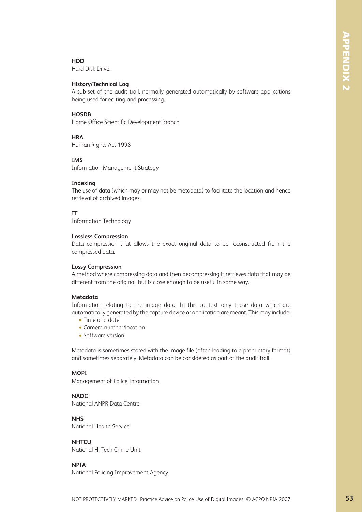**HDD**

Hard Disk Drive.

#### **History/Technical Log**

A sub-set of the audit trail, normally generated automatically by software applications being used for editing and processing.

#### **HOSDB**

Home Office Scientific Development Branch

#### **HRA**

Human Rights Act 1998

#### **IMS**

Information Management Strategy

#### **Indexing**

The use of data (which may or may not be metadata) to facilitate the location and hence retrieval of archived images.

#### **IT**

Information Technology

#### **Lossless Compression**

Data compression that allows the exact original data to be reconstructed from the compressed data.

#### **Lossy Compression**

A method where compressing data and then decompressing it retrieves data that may be different from the original, but is close enough to be useful in some way.

#### **Metadata**

Information relating to the image data. In this context only those data which are automatically generated by the capture device or application are meant. This may include:

- Time and date
- Camera number/location
- Software version.

Metadata is sometimes stored with the image file (often leading to a proprietary format) and sometimes separately. Metadata can be considered as part of the audit trail.

#### **MOPI**

Management of Police Information

#### **NADC**

National ANPR Data Centre

#### **NHS**

National Health Service

#### **NHTCU**

National Hi-Tech Crime Unit

#### **NPIA**

National Policing Improvement Agency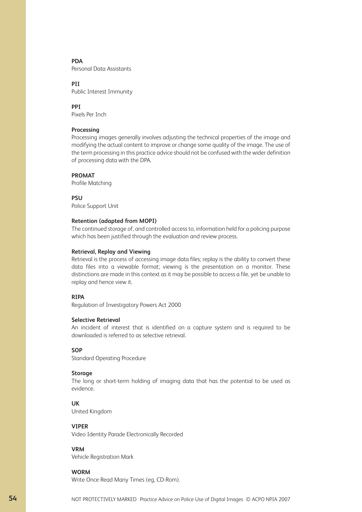#### **PDA**

Personal Data Assistants

#### **PII**

Public Interest Immunity

#### **PPI**

Pixels Per Inch

#### **Processing**

Processing images generally involves adjusting the technical properties of the image and modifying the actual content to improve or change some quality of the image. The use of the term processing in this practice advice should not be confused with the wider definition of processing data with the DPA.

#### **PROMAT**

Profile Matching

#### **PSU**

Police Support Unit

#### **Retention (adapted from MOPI)**

The continued storage of, and controlled access to, information held for a policing purpose which has been justified through the evaluation and review process.

#### **Retrieval, Replay and Viewing**

Retrieval is the process of accessing image data files; replay is the ability to convert these data files into a viewable format; viewing is the presentation on a monitor. These distinctions are made in this context as it may be possible to access a file, yet be unable to replay and hence view it.

#### **RIPA**

Regulation of Investigatory Powers Act 2000

#### **Selective Retrieval**

An incident of interest that is identified on a capture system and is required to be downloaded is referred to as selective retrieval.

#### **SOP**

Standard Operating Procedure

#### **Storage**

The long or short-term holding of imaging data that has the potential to be used as evidence.

#### **UK**

United Kingdom

#### **VIPER**

Video Identity Parade Electronically Recorded

**VRM**

Vehicle Registration Mark

#### **WORM**

Write Once Read Many Times (eg, CD-Rom).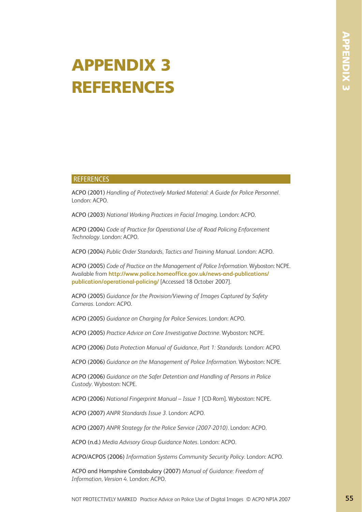### <span id="page-57-0"></span>**APPENDIX 3 REFERENCES**

#### REFERENCES

ACPO (2001) *Handling of Protectively Marked Material: A Guide for Police Personnel.* London: ACPO.

ACPO (2003) *National Working Practices in Facial Imaging.* London: ACPO.

ACPO (2004) *Code of Practice for Operational Use of Road Policing Enforcement Technology.* London: ACPO.

ACPO (2004) *Public Order Standards, Tactics and Training Manual.* London: ACPO.

ACPO (2005) *Code of Practice on the Management of Police Information.* Wyboston: NCPE. Available from **[http://www.police.homeoffice.gov.uk/news-and-publications/](http://www.police.homeoffice.gov.uk/news-and-publications/publication/operational-policing/) publication/operational-policing/** [Accessed 18 October 2007].

ACPO (2005) *Guidance for the Provision/Viewing of Images Captured by Safety Cameras.* London: ACPO.

ACPO (2005) *Guidance on Charging for Police Services.* London: ACPO.

ACPO (2005) *Practice Advice on Core Investigative Doctrine.* Wyboston: NCPE.

ACPO (2006) *Data Protection Manual of Guidance, Part 1: Standards.* London: ACPO.

ACPO (2006) *Guidance on the Management of Police Information.* Wyboston: NCPE.

ACPO (2006) *Guidance on the Safer Detention and Handling of Persons in Police Custody.* Wyboston: NCPE.

ACPO (2006) *National Fingerprint Manual – Issue 1* [CD-Rom]. Wyboston: NCPE.

ACPO (2007) *ANPR Standards Issue 3.* London: ACPO.

ACPO (2007) *ANPR Strategy for the Police Service (2007-2010).* London: ACPO.

ACPO (n.d.) *Media Advisory Group Guidance Notes.* London: ACPO.

ACPO/ACPOS (2006) *Information Systems Community Security Policy.* London: ACPO.

ACPO and Hampshire Constabulary (2007) *Manual of Guidance: Freedom of Information, Version 4.* London: ACPO.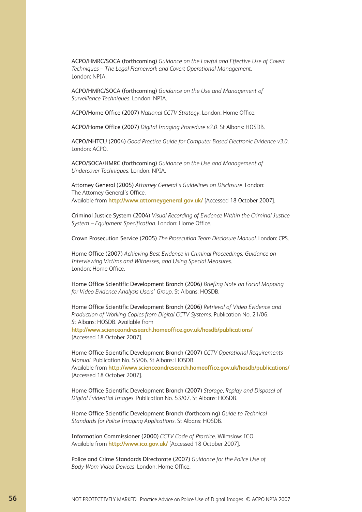ACPO/HMRC/SOCA (forthcoming) *Guidance on the Lawful and Effective Use of Covert Techniques – The Legal Framework and Covert Operational Management.* London: NPIA.

ACPO/HMRC/SOCA (forthcoming) *Guidance on the Use and Management of Surveillance Techniques.* London: NPIA.

ACPO/Home Office (2007) *National CCTV Strategy.* London: Home Office.

ACPO/Home Office (2007) *Digital Imaging Procedure v2.0.* St Albans: HOSDB.

ACPO/NHTCU (2004) *Good Practice Guide for Computer Based Electronic Evidence v3.0.* London: ACPO.

ACPO/SOCA/HMRC (forthcoming) *Guidance on the Use and Management of Undercover Techniques*. London: NPIA.

Attorney General (2005) *Attorney General's Guidelines on Disclosure.* London: The Attorney General's Office. Available from **<http://www.attorneygeneral.gov.uk/>** [Accessed 18 October 2007].

Criminal Justice System (2004) *Visual Recording of Evidence Within the Criminal Justice System – Equipment Specification.* London: Home Office.

Crown Prosecution Service (2005) *The Prosecution Team Disclosure Manual.* London: CPS.

Home Office (2007) *Achieving Best Evidence in Criminal Proceedings: Guidance on Interviewing Victims and Witnesses, and Using Special Measures.* London: Home Office.

Home Office Scientific Development Branch (2006) *Briefing Note on Facial Mapping for Video Evidence Analysis Users' Group.* St Albans: HOSDB.

Home Office Scientific Development Branch (2006) *Retrieval of Video Evidence and* Production of Working Copies from Digital CCTV Systems. Publication No. 21/06. *S*t Albans: HOSDB. Available from **<http://www.scienceandresearch.homeoffice.gov.uk/hosdb/publications/>** [Accessed 18 October 2007].

Home Office Scientific Development Branch (2007) *CCTV Operational Requirements Manual.* Publication No. 55/06. St Albans: HOSDB. Available from **<http://www.scienceandresearch.homeoffice.gov.uk/hosdb/publications/>** [Accessed 18 October 2007].

Home Office Scientific Development Branch (2007) *Storage, Replay and Disposal of Digital Evidential Images.* Publication No. 53/07. St Albans: HOSDB.

Home Office Scientific Development Branch (forthcoming) *Guide to Technical Standards for Police Imaging Applications.* St Albans: HOSDB.

Information Commissioner (2000) *CCTV Code of Practice.* Wilmslow: ICO. Available from **<http://www.ico.gov.uk/>** [Accessed 18 October 2007].

Police and Crime Standards Directorate (2007) *Guidance for the Police Use of Body-Worn Video Devices.* London: Home Office.